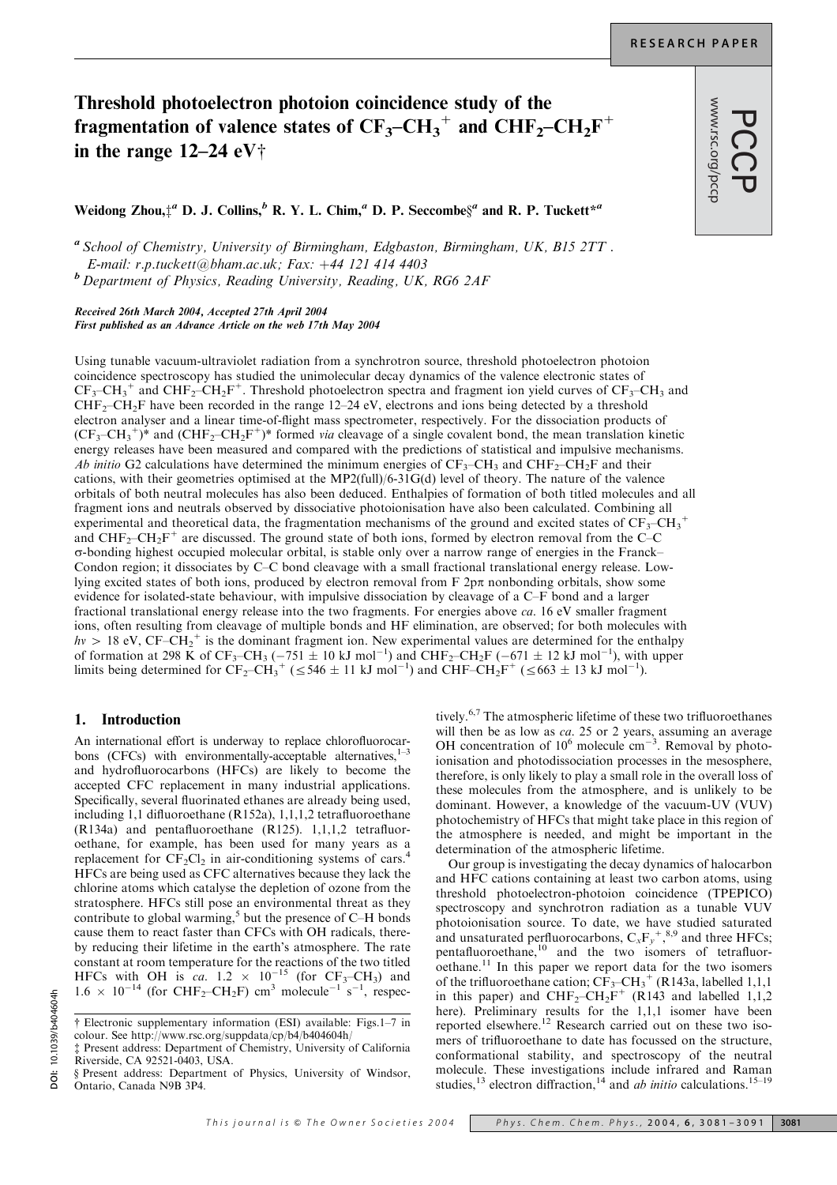www.rsc.org/pccp

# Threshold photoelectron photoion coincidence study of the fragmentation of valence states of  $CF_3-CH_3^+$  and  $CHF_2-CH_2F^+$ in the range  $12-24$  eV<sup>+</sup>

Weidong Zhou, $\ddagger^a$  D. J. Collins, $^b$  R. Y. L. Chim, $^a$  D. P. Seccombe $\S^a$  and R. P. Tuckett $^{\ast a}$ 

<sup>a</sup> School of Chemistry, University of Birmingham, Edgbaston, Birmingham, UK, B15 2TT . E-mail: r.p.tuckett@bham.ac.uk; Fax:  $+44$  121 414 4403 <sup>b</sup> Department of Physics, Reading University, Reading, UK, RG6 2AF

Received 26th March 2004, Accepted 27th April 2004 First published as an Advance Article on the web 17th May 2004

Using tunable vacuum-ultraviolet radiation from a synchrotron source, threshold photoelectron photoion coincidence spectroscopy has studied the unimolecular decay dynamics of the valence electronic states of  $CF_3-CH_3^+$  and  $CHF_2-CH_2F^+$ . Threshold photoelectron spectra and fragment ion yield curves of  $CF_3-CH_3$  and  $CHF<sub>2</sub>-CH<sub>2</sub>F$  have been recorded in the range 12–24 eV, electrons and ions being detected by a threshold electron analyser and a linear time-of-flight mass spectrometer, respectively. For the dissociation products of  $(CF_3-CH_3^+)^*$  and  $(CHF_2-CH_2F^+)^*$  formed *via* cleavage of a single covalent bond, the mean translation kinetic energy releases have been measured and compared with the predictions of statistical and impulsive mechanisms. Ab initio G2 calculations have determined the minimum energies of  $CF_3-CH_3$  and  $CHF_2-CH_2F$  and their cations, with their geometries optimised at the MP2(full)/6-31G(d) level of theory. The nature of the valence orbitals of both neutral molecules has also been deduced. Enthalpies of formation of both titled molecules and all fragment ions and neutrals observed by dissociative photoionisation have also been calculated. Combining all experimental and theoretical data, the fragmentation mechanisms of the ground and excited states of  $CF_3-CH_3^+$ and  $CHF_2-CH_2F^+$  are discussed. The ground state of both ions, formed by electron removal from the C–C s-bonding highest occupied molecular orbital, is stable only over a narrow range of energies in the Franck– Condon region; it dissociates by C–C bond cleavage with a small fractional translational energy release. Lowlying excited states of both ions, produced by electron removal from  $F 2p\pi$  nonbonding orbitals, show some evidence for isolated-state behaviour, with impulsive dissociation by cleavage of a C–F bond and a larger fractional translational energy release into the two fragments. For energies above ca. 16 eV smaller fragment ions, often resulting from cleavage of multiple bonds and HF elimination, are observed; for both molecules with  $hv > 18$  eV, CF–CH<sub>2</sub><sup>+</sup> is the dominant fragment ion. New experimental values are determined for the enthalpy of formation at 298 K of CF<sub>3</sub>-CH<sub>3</sub> (-751  $\pm$  10 kJ mol<sup>-1</sup>) and CHF<sub>2</sub>-CH<sub>2</sub>F (-671  $\pm$  12 kJ mol<sup>-1</sup>), with upper limits being determined for  $CF_2-CH_3^+$  ( $\leq 546 \pm 11 \text{ kJ} \text{ mol}^{-1}$ ) and  $CHF-CH_2F^+$  ( $\leq 663 \pm 13 \text{ kJ} \text{ mol}^{-1}$ ).

# 1. Introduction

An international effort is underway to replace chlorofluorocarbons (CFCs) with environmentally-acceptable alternatives, $1-3$ and hydrofluorocarbons (HFCs) are likely to become the accepted CFC replacement in many industrial applications. Specifically, several fluorinated ethanes are already being used, including 1,1 difluoroethane (R152a), 1,1,1,2 tetrafluoroethane (R134a) and pentafluoroethane (R125). 1,1,1,2 tetrafluoroethane, for example, has been used for many years as a replacement for  $CF_2Cl_2$  in air-conditioning systems of cars.<sup>4</sup> HFCs are being used as CFC alternatives because they lack the chlorine atoms which catalyse the depletion of ozone from the stratosphere. HFCs still pose an environmental threat as they contribute to global warming, $5$  but the presence of C–H bonds cause them to react faster than CFCs with OH radicals, thereby reducing their lifetime in the earth's atmosphere. The rate constant at room temperature for the reactions of the two titled HFCs with OH is ca.  $1.2 \times 10^{-15}$  (for CF<sub>3</sub>–CH<sub>3</sub>) and  $1.6 \times 10^{-14}$  (for CHF<sub>2</sub>-CH<sub>2</sub>F) cm<sup>3</sup> molecule<sup>-1</sup> s<sup>-1</sup>, respectively.6,7 The atmospheric lifetime of these two trifluoroethanes will then be as low as *ca*. 25 or 2 years, assuming an average OH concentration of  $10^6$  molecule  $cm^{-3}$ . Removal by photoionisation and photodissociation processes in the mesosphere, therefore, is only likely to play a small role in the overall loss of these molecules from the atmosphere, and is unlikely to be dominant. However, a knowledge of the vacuum-UV (VUV) photochemistry of HFCs that might take place in this region of the atmosphere is needed, and might be important in the determination of the atmospheric lifetime.

Our group is investigating the decay dynamics of halocarbon and HFC cations containing at least two carbon atoms, using threshold photoelectron-photoion coincidence (TPEPICO) spectroscopy and synchrotron radiation as a tunable VUV photoionisation source. To date, we have studied saturated and unsaturated perfluorocarbons,  $C_xF_y^{\{+,8,9\}}$  and three HFCs; pentafluoroethane,<sup>10</sup> and the two isomers of tetrafluoroethane.<sup>11</sup> In this paper we report data for the two isomers of the trifluoroethane cation;  $CF_3-CH_3^+$  (R143a, labelled 1,1,1) in this paper) and  $CHF_2-CH_2F^+$  (R143 and labelled 1,1,2 here). Preliminary results for the 1,1,1 isomer have been reported elsewhere.<sup>12</sup> Research carried out on these two isomers of trifluoroethane to date has focussed on the structure, conformational stability, and spectroscopy of the neutral molecule. These investigations include infrared and Raman studies,<sup>13</sup> electron diffraction,<sup>14</sup> and *ab initio* calculations.<sup>15–19</sup>

<sup>{</sup> Electronic supplementary information (ESI) available: Figs.1–7 in colour. See http://www.rsc.org/suppdata/cp/b4/b404604h/ { Present address: Department of Chemistry, University of California

Riverside, CA 92521-0403, USA.

<sup>§</sup> Present address: Department of Physics, University of Windsor, Ontario, Canada N9B 3P4.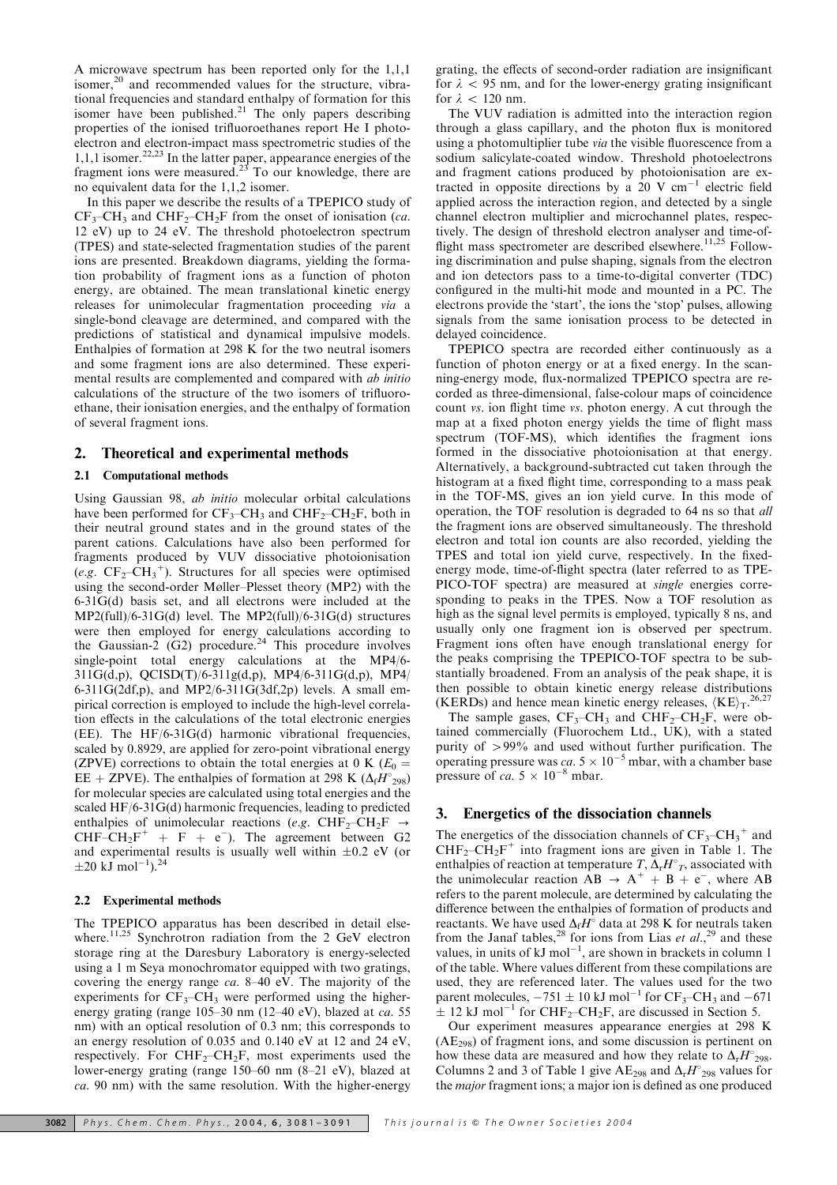A microwave spectrum has been reported only for the 1,1,1 isomer,<sup>20</sup> and recommended values for the structure, vibrational frequencies and standard enthalpy of formation for this isomer have been published.<sup>21</sup> The only papers describing properties of the ionised trifluoroethanes report He I photoelectron and electron-impact mass spectrometric studies of the 1,1,1 isomer.22,23 In the latter paper, appearance energies of the fragment ions were measured.<sup>23</sup> To our knowledge, there are no equivalent data for the 1,1,2 isomer.

In this paper we describe the results of a TPEPICO study of  $CF_3$ –CH<sub>3</sub> and CHF<sub>2</sub>–CH<sub>2</sub>F from the onset of ionisation (*ca*. 12 eV) up to 24 eV. The threshold photoelectron spectrum (TPES) and state-selected fragmentation studies of the parent ions are presented. Breakdown diagrams, yielding the formation probability of fragment ions as a function of photon energy, are obtained. The mean translational kinetic energy releases for unimolecular fragmentation proceeding via a single-bond cleavage are determined, and compared with the predictions of statistical and dynamical impulsive models. Enthalpies of formation at 298 K for the two neutral isomers and some fragment ions are also determined. These experimental results are complemented and compared with ab initio calculations of the structure of the two isomers of trifluoroethane, their ionisation energies, and the enthalpy of formation of several fragment ions.

## 2. Theoretical and experimental methods

#### 2.1 Computational methods

Using Gaussian 98, ab initio molecular orbital calculations have been performed for  $CF_3-CH_3$  and  $CHF_2-CH_2F$ , both in their neutral ground states and in the ground states of the parent cations. Calculations have also been performed for fragments produced by VUV dissociative photoionisation (e.g.  $CF_2$ - $CH_3$ <sup>+</sup>). Structures for all species were optimised using the second-order Møller–Plesset theory (MP2) with the 6-31G(d) basis set, and all electrons were included at the MP2(full)/6-31G(d) level. The MP2(full)/6-31G(d) structures were then employed for energy calculations according to the Gaussian-2  $(G2)$  procedure.<sup>24</sup> This procedure involves single-point total energy calculations at the MP4/6- 311G(d,p), QCISD(T)/6-311g(d,p), MP4/6-311G(d,p), MP4/  $6-311G(2df,p)$ , and MP2/6-311G $(3df,2p)$  levels. A small empirical correction is employed to include the high-level correlation effects in the calculations of the total electronic energies (EE). The HF/6-31G(d) harmonic vibrational frequencies, scaled by 0.8929, are applied for zero-point vibrational energy (ZPVE) corrections to obtain the total energies at 0 K ( $E_0 =$ EE + ZPVE). The enthalpies of formation at 298 K ( $\Delta_f H^{\circ}_{298}$ ) for molecular species are calculated using total energies and the scaled HF/6-31G(d) harmonic frequencies, leading to predicted enthalpies of unimolecular reactions (e.g. CHF<sub>2</sub>–CH<sub>2</sub>F  $\rightarrow$  $CHF-CH_2F^+ + F + e^-$ ). The agreement between G2 and experimental results is usually well within  $\pm 0.2$  eV (or  $\pm 20 \text{ kJ} \text{ mol}^{-1}$ ).<sup>24</sup>

## 2.2 Experimental methods

The TPEPICO apparatus has been described in detail elsewhere.<sup>11,25</sup> Synchrotron radiation from the 2 GeV electron storage ring at the Daresbury Laboratory is energy-selected using a 1 m Seya monochromator equipped with two gratings, covering the energy range ca. 8–40 eV. The majority of the experiments for  $CF_3-CH_3$  were performed using the higherenergy grating (range 105–30 nm (12–40 eV), blazed at *ca.* 55 nm) with an optical resolution of 0.3 nm; this corresponds to an energy resolution of 0.035 and 0.140 eV at 12 and 24 eV, respectively. For  $CHF_2–CH_2F$ , most experiments used the lower-energy grating (range 150–60 nm (8–21 eV), blazed at ca. 90 nm) with the same resolution. With the higher-energy grating, the effects of second-order radiation are insignificant for  $\lambda$  < 95 nm, and for the lower-energy grating insignificant for  $\lambda$  < 120 nm.

The VUV radiation is admitted into the interaction region through a glass capillary, and the photon flux is monitored using a photomultiplier tube *via* the visible fluorescence from a sodium salicylate-coated window. Threshold photoelectrons and fragment cations produced by photoionisation are extracted in opposite directions by a 20 V  $cm^{-1}$  electric field applied across the interaction region, and detected by a single channel electron multiplier and microchannel plates, respectively. The design of threshold electron analyser and time-offlight mass spectrometer are described elsewhere.<sup>11,25</sup> Following discrimination and pulse shaping, signals from the electron and ion detectors pass to a time-to-digital converter (TDC) configured in the multi-hit mode and mounted in a PC. The electrons provide the 'start', the ions the 'stop' pulses, allowing signals from the same ionisation process to be detected in delayed coincidence.

TPEPICO spectra are recorded either continuously as a function of photon energy or at a fixed energy. In the scanning-energy mode, flux-normalized TPEPICO spectra are recorded as three-dimensional, false-colour maps of coincidence count vs. ion flight time vs. photon energy. A cut through the map at a fixed photon energy yields the time of flight mass spectrum (TOF-MS), which identifies the fragment ions formed in the dissociative photoionisation at that energy. Alternatively, a background-subtracted cut taken through the histogram at a fixed flight time, corresponding to a mass peak in the TOF-MS, gives an ion yield curve. In this mode of operation, the TOF resolution is degraded to 64 ns so that all the fragment ions are observed simultaneously. The threshold electron and total ion counts are also recorded, yielding the TPES and total ion yield curve, respectively. In the fixedenergy mode, time-of-flight spectra (later referred to as TPE-PICO-TOF spectra) are measured at single energies corresponding to peaks in the TPES. Now a TOF resolution as high as the signal level permits is employed, typically 8 ns, and usually only one fragment ion is observed per spectrum. Fragment ions often have enough translational energy for the peaks comprising the TPEPICO-TOF spectra to be substantially broadened. From an analysis of the peak shape, it is then possible to obtain kinetic energy release distributions (KERDs) and hence mean kinetic energy releases,  $\langle KE \rangle_T$ . 26,27

The sample gases,  $CF_3-CH_3$  and  $CHF_2-CH_2F$ , were obtained commercially (Fluorochem Ltd., UK), with a stated purity of  $>99\%$  and used without further purification. The operating pressure was ca.  $5 \times 10^{-5}$  mbar, with a chamber base pressure of ca.  $5 \times 10^{-8}$  mbar.

#### 3. Energetics of the dissociation channels

The energetics of the dissociation channels of  $CF_3-CH_3^+$  and  $CHF<sub>2</sub>-CH<sub>2</sub>F<sup>+</sup>$  into fragment ions are given in Table 1. The enthalpies of reaction at temperature T,  $\Delta_r H^\circ_T$ , associated with the unimolecular reaction  $\overrightarrow{AB} \rightarrow \overrightarrow{A}^+ + \overrightarrow{B} + e^-$ , where AB refers to the parent molecule, are determined by calculating the difference between the enthalpies of formation of products and reactants. We have used  $\Delta_f H^{\circ}$  data at 298 K for neutrals taken from the Janaf tables,<sup>28</sup> for ions from Lias et  $al.^{29}$  and these values, in units of  $kJ$  mol<sup>-1</sup>, are shown in brackets in column 1 of the table. Where values different from these compilations are used, they are referenced later. The values used for the two parent molecules,  $-751 \pm 10 \text{ kJ} \text{ mol}^{-1}$  for  $\text{CF}_3$ -CH<sub>3</sub> and  $-671$  $\pm$  12 kJ mol<sup>-1</sup> for CHF<sub>2</sub>-CH<sub>2</sub>F, are discussed in Section 5.

Our experiment measures appearance energies at 298 K  $(AE<sub>298</sub>)$  of fragment ions, and some discussion is pertinent on how these data are measured and how they relate to  $\Delta_{r}H^{\circ}_{298}$ . Columns 2 and 3 of Table 1 give AE<sub>298</sub> and  $\Delta_{r}H_{298}^{\circ}$  values for the major fragment ions; a major ion is defined as one produced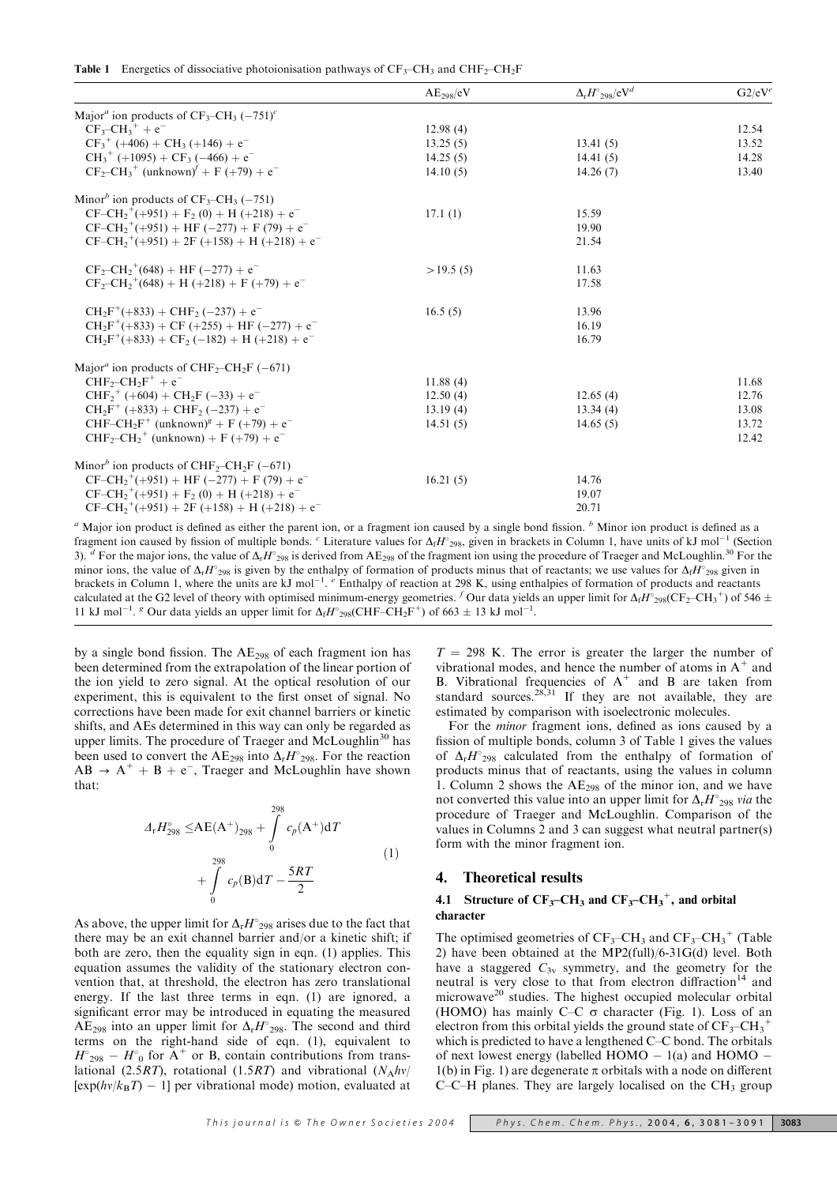|  |  |  | <b>Table 1</b> Energetics of dissociative photoionisation pathways of $CF_3-CH_3$ and $CHF_2-CH_2F$ |  |  |  |
|--|--|--|-----------------------------------------------------------------------------------------------------|--|--|--|
|--|--|--|-----------------------------------------------------------------------------------------------------|--|--|--|

|                                                                                      | AE <sub>298</sub> /eV | $\Delta_{\rm r} H^{\circ}$ <sub>298</sub> /eV <sup>d</sup> | $G2/eV^e$ |
|--------------------------------------------------------------------------------------|-----------------------|------------------------------------------------------------|-----------|
| Major <sup><i>a</i></sup> ion products of $CF_3-CH_3(-751)^c$                        |                       |                                                            |           |
| $CF3-CH3+ + e-$                                                                      | 12.98(4)              |                                                            | 12.54     |
| $CF_3^+$ (+406) + CH <sub>3</sub> (+146) + $e^-$                                     | 13.25(5)              | 13.41(5)                                                   | 13.52     |
| $CH_3^+$ (+1095) + $CF_3$ (-466) + $e^-$                                             | 14.25(5)              | 14.41(5)                                                   | 14.28     |
| $CF_2-CH_3^+$ (unknown) <sup><math>\ell</math></sup> + F (+79) + e <sup>-</sup>      | 14.10(5)              | 14.26(7)                                                   | 13.40     |
| Minor <sup>b</sup> ion products of $CF_3-CH_3(-751)$                                 |                       |                                                            |           |
| $CF-CH_2^+(+951) + F_2(0) + H (+218) + e^-$                                          | 17.1(1)               | 15.59                                                      |           |
| $CF-CH_2^+(+951) + HF (-277) + F (79) + e^{-}$                                       |                       | 19.90                                                      |           |
| $CF-CH_2^+(+951) + 2F (+158) + H (+218) + e^-$                                       |                       | 21.54                                                      |           |
| $CF_2-CH_2^+(648) + HF (-277) + e^{-}$                                               | >19.5(5)              | 11.63                                                      |           |
| $CF_2-CH_2^+(648) + H (+218) + F (+79) + e^-$                                        |                       | 17.58                                                      |           |
| $CH_2F^+(+833) + CHF_2(-237) + e^{-}$                                                | 16.5(5)               | 13.96                                                      |           |
| $CH_2F^+(+833) + CF (+255) + HF (-277) + e^-$                                        |                       | 16.19                                                      |           |
| $CH_2F^+(+833) + CF_2(-182) + H (+218) + e^{-}$                                      |                       | 16.79                                                      |           |
| Major <sup><i>a</i></sup> ion products of CHF <sub>2</sub> -CH <sub>2</sub> F (-671) |                       |                                                            |           |
| $CHF_2$ -CH <sub>2</sub> $F^+$ + $e^-$                                               | 11.88(4)              |                                                            | 11.68     |
| $CHF2+ (+604) + CH2F (-33) + e-$                                                     | 12.50(4)              | 12.65(4)                                                   | 12.76     |
| $CH_2F^+$ (+833) + CHF <sub>2</sub> (-237) + $e^-$                                   | 13.19(4)              | 13.34(4)                                                   | 13.08     |
| $CHF-CH_2F^+$ (unknown) <sup>g</sup> + F (+79) + e <sup>-</sup>                      | 14.51(5)              | 14.65(5)                                                   | 13.72     |
| $CHF_2-CH_2^+$ (unknown) + F (+79) + e <sup>-</sup>                                  |                       |                                                            | 12.42     |
| Minor <sup>b</sup> ion products of CHF <sub>2</sub> -CH <sub>2</sub> F (-671)        |                       |                                                            |           |
| $CF-CH_2^+(+951) + HF (-277) + F (79) + e^{-}$                                       | 16.21(5)              | 14.76                                                      |           |
| $CF-CH_2^+(+951) + F_2(0) + H (+218) + e^-$                                          |                       | 19.07                                                      |           |
| $CF-CH_2^+(+951) + 2F (+158) + H (+218) + e^-$                                       |                       | 20.71                                                      |           |
|                                                                                      |                       |                                                            |           |

 $a<sup>a</sup>$  Major ion product is defined as either the parent ion, or a fragment ion caused by a single bond fission.  $b<sup>b</sup>$  Minor ion product is defined as a fragment ion caused by fission of multiple bonds. <sup>c</sup> Literature values for  $\Delta_f H^{\circ}{}_{298}$ , given in brackets in Column 1, have units of kJ mol<sup>-1</sup> (Section 3).  $d$  For the major ions, the value of  $\Delta_r H_{298}$  is derived from AE<sub>298</sub> of the fragment ion using the procedure of Traeger and McLoughlin.<sup>30</sup> For the minor ions, the value of  $\Delta_r H_{298}$  is given by the enthalpy of formation of products minus that of reactants; we use values for  $\Delta_f H_{298}$  given in brackets in Column 1, where the units are  $kJ$  mol<sup>-1</sup>. <sup>e</sup> Enthalpy of reaction at 298 K, using enthalpies of formation of products and reactants calculated at the G2 level of theory with optimised minimum-energy geometries. <sup>f</sup> Our data yields an upper limit for  $\Delta_f H_{298}^{\circ}(\text{CF}_2-\text{CH}_3^+)$  of 546  $\pm$ 11 kJ mol<sup>-1</sup>. <sup>*s*</sup> Our data yields an upper limit for  $\Delta_f H_{298}^{\circ}$  (CHF–CH<sub>2</sub>F<sup>+</sup>) of 663  $\pm$  13 kJ mol<sup>-1</sup>.

by a single bond fission. The AE<sub>298</sub> of each fragment ion has been determined from the extrapolation of the linear portion of the ion yield to zero signal. At the optical resolution of our experiment, this is equivalent to the first onset of signal. No corrections have been made for exit channel barriers or kinetic shifts, and AEs determined in this way can only be regarded as upper limits. The procedure of Traeger and McLoughlin<sup>30</sup> has been used to convert the AE<sub>298</sub> into  $\Delta_{r}H_{298}^{\circ}$ . For the reaction  $AB \rightarrow A^+ + B + e^-$ , Traeger and McLoughlin have shown that:

$$
\Delta_{r}H_{298}^{\circ} \leq A E(A^{+})_{298} + \int_{0}^{298} c_{p}(A^{+}) dT + \int_{0}^{298} c_{p}(B) dT - \frac{5RT}{2}
$$
\n(1)

As above, the upper limit for  $\Delta_r H_{298}$  arises due to the fact that there may be an exit channel barrier and/or a kinetic shift; if both are zero, then the equality sign in eqn. (1) applies. This equation assumes the validity of the stationary electron convention that, at threshold, the electron has zero translational energy. If the last three terms in eqn. (1) are ignored, a significant error may be introduced in equating the measured  $AE_{298}$  into an upper limit for  $\Delta_{r}H^{\circ}_{298}$ . The second and third terms on the right-hand side of eqn. (1), equivalent to  $H^{\circ}_{298} - H^{\circ}_{0}$  for A<sup>+</sup> or B, contain contributions from translational (2.5RT), rotational (1.5RT) and vibrational  $(N_A hv)$  $[exp(hv/k_BT) - 1]$  per vibrational mode) motion, evaluated at  $T = 298$  K. The error is greater the larger the number of vibrational modes, and hence the number of atoms in  $A^+$  and B. Vibrational frequencies of  $A^+$  and B are taken from standard sources. $28,31$  If they are not available, they are estimated by comparison with isoelectronic molecules.

For the minor fragment ions, defined as ions caused by a fission of multiple bonds, column 3 of Table 1 gives the values of  $\Delta_r H^2_{298}$  calculated from the enthalpy of formation of products minus that of reactants, using the values in column 1. Column 2 shows the  $AE<sub>298</sub>$  of the minor ion, and we have not converted this value into an upper limit for  $\Delta_r H_{298}^{\circ}$  via the procedure of Traeger and McLoughlin. Comparison of the values in Columns 2 and 3 can suggest what neutral partner(s) form with the minor fragment ion.

#### 4. Theoretical results

# 4.1 Structure of  $CF_3-CH_3$  and  $CF_3-CH_3^+$ , and orbital character

The optimised geometries of  $CF_3$ -CH<sub>3</sub> and  $CF_3$ -CH<sub>3</sub><sup>+</sup> (Table 2) have been obtained at the MP2(full)/6-31G(d) level. Both have a staggered  $C_{3v}$  symmetry, and the geometry for the neutral is very close to that from electron diffraction<sup>14</sup> and microwave<sup>20</sup> studies. The highest occupied molecular orbital (HOMO) has mainly C–C  $\sigma$  character (Fig. 1). Loss of an electron from this orbital yields the ground state of  $CF_3-CH_3^+$ which is predicted to have a lengthened C–C bond. The orbitals of next lowest energy (labelled  $HOMO - 1(a)$  and  $HOMO 1(b)$  in Fig. 1) are degenerate  $\pi$  orbitals with a node on different C–C–H planes. They are largely localised on the  $CH<sub>3</sub>$  group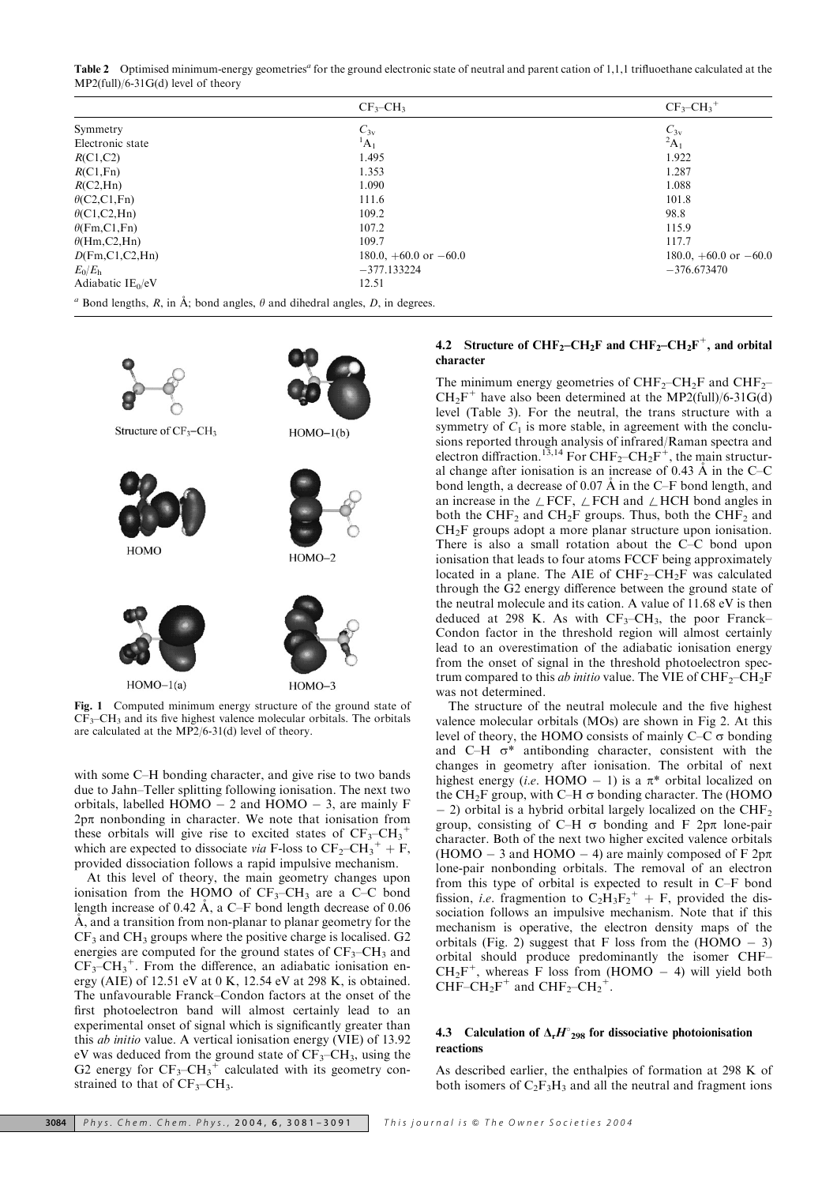Table 2 Optimised minimum-energy geometries<sup>a</sup> for the ground electronic state of neutral and parent cation of 1,1,1 trifluoethane calculated at the MP2(full)/6-31G(d) level of theory

|                                                                                                                      | $CF3-CH3$                 | $CF3-CH3+$                |  |  |
|----------------------------------------------------------------------------------------------------------------------|---------------------------|---------------------------|--|--|
| Symmetry                                                                                                             | $C_{3v}$                  |                           |  |  |
| Electronic state                                                                                                     | ${}^1A_1$                 | $C_{3v}$<br>${}^{2}A_{1}$ |  |  |
| R(C1,C2)                                                                                                             | 1.495                     | 1.922                     |  |  |
| R(C1,Fn)                                                                                                             | 1.353                     | 1.287                     |  |  |
| R(C2, Hn)                                                                                                            | 1.090                     | 1.088                     |  |  |
| $\theta$ (C2,C1,Fn)                                                                                                  | 111.6                     | 101.8                     |  |  |
| $\theta$ (C1,C2,Hn)                                                                                                  | 109.2                     | 98.8                      |  |  |
| $\theta$ (Fm,C1,Fn)                                                                                                  | 107.2                     | 115.9                     |  |  |
| $\theta$ (Hm,C2,Hn)                                                                                                  | 109.7                     | 117.7                     |  |  |
| D(Fm, C1, C2, Hn)                                                                                                    | $180.0, +60.0$ or $-60.0$ | $180.0, +60.0$ or $-60.0$ |  |  |
| $E_0/E_h$                                                                                                            | $-377.133224$             | $-376.673470$             |  |  |
| Adiabatic $IE_0/eV$                                                                                                  | 12.51                     |                           |  |  |
| <sup><i>a</i></sup> Bond lengths, <i>R</i> , in Å; bond angles, $\theta$ and dihedral angles, <i>D</i> , in degrees. |                           |                           |  |  |

| Structure of CF <sub>3</sub> -CH <sub>3</sub>         | $HOMO-1(b)$ |
|-------------------------------------------------------|-------------|
| HOMO                                                  | $HOMO-2$    |
| $HOMO-1(a)$                                           | $HOMO-3$    |
|                                                       |             |
| Computed minimum openay etmography of the angund stat |             |

Fig. 1 Computed minimum energy structure of the ground state of  $CF_3-CH_3$  and its five highest valence molecular orbitals. The orbitals are calculated at the MP2/6-31(d) level of theory.

with some C–H bonding character, and give rise to two bands due to Jahn–Teller splitting following ionisation. The next two orbitals, labelled HOMO  $-$  2 and HOMO  $-$  3, are mainly F  $2p\pi$  nonbonding in character. We note that ionisation from these orbitals will give rise to excited states of  $CF_3-CH_3^+$ which are expected to dissociate via F-loss to  $CF_2-CH_3^+ + F$ , provided dissociation follows a rapid impulsive mechanism.

At this level of theory, the main geometry changes upon ionisation from the HOMO of  $CF_3-CH_3$  are a C–C bond length increase of 0.42  $\AA$ , a C–F bond length decrease of 0.06 A, and a transition from non-planar to planar geometry for the  $CF<sub>3</sub>$  and  $CH<sub>3</sub>$  groups where the positive charge is localised. G2 energies are computed for the ground states of  $CF_3-CH_3$  and  $CF_3-CH_3^+$ . From the difference, an adiabatic ionisation energy (AIE) of 12.51 eV at 0 K, 12.54 eV at 298 K, is obtained. The unfavourable Franck–Condon factors at the onset of the first photoelectron band will almost certainly lead to an experimental onset of signal which is significantly greater than this ab initio value. A vertical ionisation energy (VIE) of 13.92 eV was deduced from the ground state of  $CF_3-CH_3$ , using the G2 energy for  $CF_3-CH_3^+$  calculated with its geometry constrained to that of  $CF_3-CH_3$ .

# 4.2 Structure of  $CHF_2-CH_2F$  and  $CHF_2-CH_2F^+$ , and orbital character

The minimum energy geometries of  $CHF_2$ –CH<sub>2</sub>F and CHF<sub>2</sub>–  $CH<sub>2</sub>F<sup>+</sup>$  have also been determined at the MP2(full)/6-31G(d) level (Table 3). For the neutral, the trans structure with a symmetry of  $C_1$  is more stable, in agreement with the conclusions reported through analysis of infrared/Raman spectra and electron diffraction.<sup>13,14</sup> For  $\text{CHF}_2-\text{CH}_2\text{F}^+$ , the main structural change after ionisation is an increase of 0.43 Å in the C–C bond length, a decrease of 0.07  $\AA$  in the C–F bond length, and an increase in the  $\angle$  FCF,  $\angle$  FCH and  $\angle$  HCH bond angles in both the CHF<sub>2</sub> and CH<sub>2</sub>F groups. Thus, both the CHF<sub>2</sub> and CH2F groups adopt a more planar structure upon ionisation. There is also a small rotation about the C–C bond upon ionisation that leads to four atoms FCCF being approximately located in a plane. The AIE of  $CHF_2-CH_2F$  was calculated through the G2 energy difference between the ground state of the neutral molecule and its cation. A value of 11.68 eV is then deduced at 298 K. As with  $CF_3-CH_3$ , the poor Franck– Condon factor in the threshold region will almost certainly lead to an overestimation of the adiabatic ionisation energy from the onset of signal in the threshold photoelectron spectrum compared to this *ab initio* value. The VIE of  $CHF_2-CH_2F$ was not determined.

The structure of the neutral molecule and the five highest valence molecular orbitals (MOs) are shown in Fig 2. At this level of theory, the HOMO consists of mainly C–C  $\sigma$  bonding and C–H  $\sigma^*$  antibonding character, consistent with the changes in geometry after ionisation. The orbital of next highest energy (i.e. HOMO - 1) is a  $\pi^*$  orbital localized on the CH<sub>2</sub>F group, with C–H  $\sigma$  bonding character. The (HOMO  $-$  2) orbital is a hybrid orbital largely localized on the CHF<sub>2</sub> group, consisting of C–H  $\sigma$  bonding and F 2p $\pi$  lone-pair character. Both of the next two higher excited valence orbitals (HOMO – 3 and HOMO – 4) are mainly composed of F  $2p\pi$ lone-pair nonbonding orbitals. The removal of an electron from this type of orbital is expected to result in C–F bond fission, *i.e.* fragmention to  $C_2H_3F_2^+ + F$ , provided the dissociation follows an impulsive mechanism. Note that if this mechanism is operative, the electron density maps of the orbitals (Fig. 2) suggest that F loss from the  $(HOMO - 3)$ orbital should produce predominantly the isomer CHF–  $CH_2F^+$ , whereas F loss from (HOMO – 4) will yield both CHF–CH<sub>2</sub>F<sup>+</sup> and CHF<sub>2</sub>–CH<sub>2</sub><sup>+</sup>.

#### 4.3 Calculation of  $\Delta_r H_{298}$  for dissociative photoionisation reactions

As described earlier, the enthalpies of formation at 298 K of both isomers of  $C_2F_3H_3$  and all the neutral and fragment ions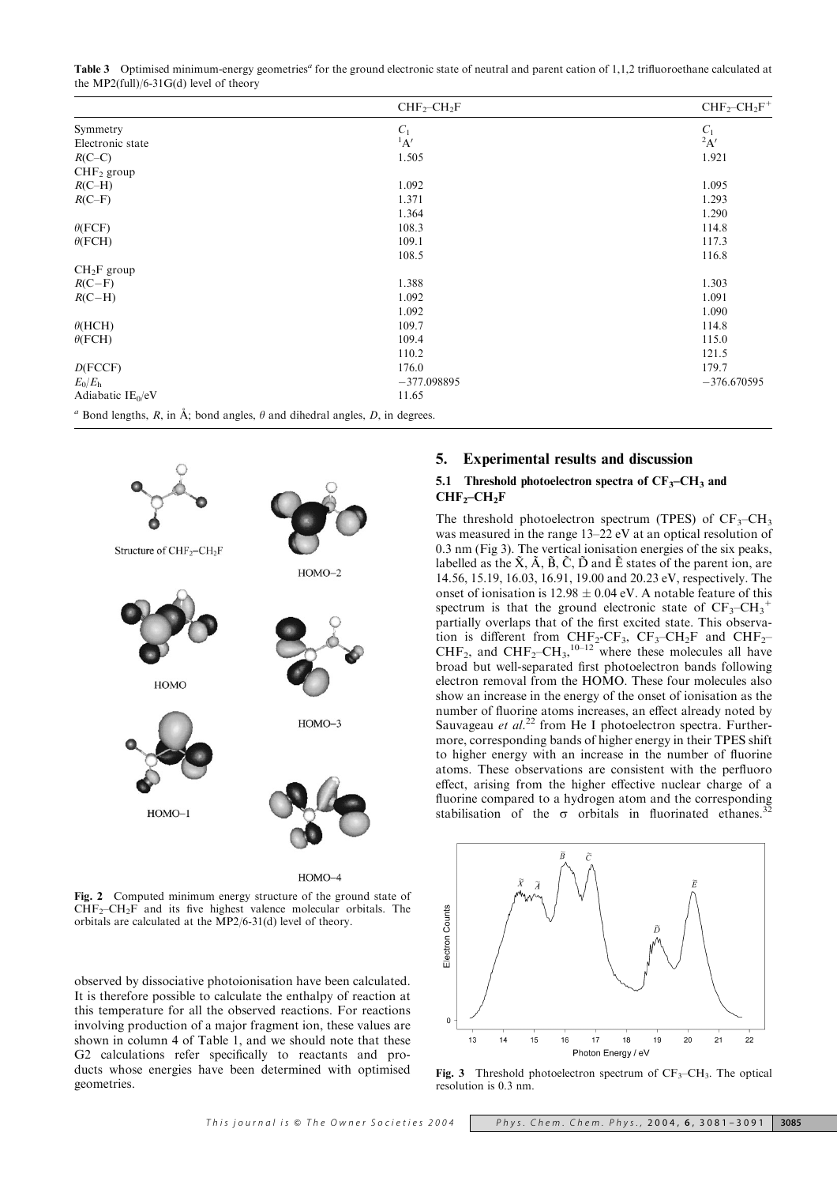Table 3 Optimised minimum-energy geometries<sup>a</sup> for the ground electronic state of neutral and parent cation of 1,1,2 trifluoroethane calculated at the MP2(full)/6-31G(d) level of theory

|                                                                                                                      | $CHF2-CH2F$   | $CHF2-CH2F+$  |
|----------------------------------------------------------------------------------------------------------------------|---------------|---------------|
| Symmetry                                                                                                             | $C_1$         | $C_1$         |
| Electronic state                                                                                                     | $A^1$         | $2\mathbf{A}$ |
| $R$ (C-C)                                                                                                            | 1.505         | 1.921         |
| $CHF2$ group                                                                                                         |               |               |
| $R$ (C-H)                                                                                                            | 1.092         | 1.095         |
| $R$ (C-F)                                                                                                            | 1.371         | 1.293         |
|                                                                                                                      | 1.364         | 1.290         |
| $\theta$ (FCF)                                                                                                       | 108.3         | 114.8         |
| $\theta$ (FCH)                                                                                                       | 109.1         | 117.3         |
|                                                                                                                      | 108.5         | 116.8         |
| $CH2F$ group                                                                                                         |               |               |
| $R(C-F)$                                                                                                             | 1.388         | 1.303         |
| $R$ (C-H)                                                                                                            | 1.092         | 1.091         |
|                                                                                                                      | 1.092         | 1.090         |
| $\theta$ (HCH)                                                                                                       | 109.7         | 114.8         |
| $\theta$ (FCH)                                                                                                       | 109.4         | 115.0         |
|                                                                                                                      | 110.2         | 121.5         |
| D(FCCF)                                                                                                              | 176.0         | 179.7         |
| $E_0/E_h$                                                                                                            | $-377.098895$ | $-376.670595$ |
| Adiabatic $IE_0/eV$                                                                                                  | 11.65         |               |
| <sup><i>a</i></sup> Bond lengths, <i>R</i> , in Å; bond angles, $\theta$ and dihedral angles, <i>D</i> , in degrees. |               |               |



Fig. 2 Computed minimum energy structure of the ground state of  $CHF<sub>2</sub>-CH<sub>2</sub>F$  and its five highest valence molecular orbitals. The orbitals are calculated at the MP2/6-31(d) level of theory.

observed by dissociative photoionisation have been calculated. It is therefore possible to calculate the enthalpy of reaction at this temperature for all the observed reactions. For reactions involving production of a major fragment ion, these values are shown in column 4 of Table 1, and we should note that these G2 calculations refer specifically to reactants and products whose energies have been determined with optimised geometries.

# 5. Experimental results and discussion

# 5.1 Threshold photoelectron spectra of  $CF_3-CH_3$  and  $CHF<sub>2</sub>-CH<sub>2</sub>F$

The threshold photoelectron spectrum (TPES) of  $CF_3-CH_3$ was measured in the range 13–22 eV at an optical resolution of 0.3 nm (Fig 3). The vertical ionisation energies of the six peaks, labelled as the  $\check{X}$ ,  $\check{A}$ ,  $\check{B}$ ,  $\check{C}$ ,  $\check{D}$  and  $\check{E}$  states of the parent ion, are 14.56, 15.19, 16.03, 16.91, 19.00 and 20.23 eV, respectively. The onset of ionisation is  $12.98 \pm 0.04$  eV. A notable feature of this spectrum is that the ground electronic state of  $CF_3-CH_3^+$ partially overlaps that of the first excited state. This observation is different from  $CHF_2-CF_3$ ,  $CF_3-CH_2F$  and  $CHF_2-$ CHF<sub>2</sub>, and CHF<sub>2</sub>-CH<sub>3</sub>,<sup>10-12</sup> where these molecules all have broad but well-separated first photoelectron bands following electron removal from the HOMO. These four molecules also show an increase in the energy of the onset of ionisation as the number of fluorine atoms increases, an effect already noted by Sauvageau et al.<sup>22</sup> from He I photoelectron spectra. Furthermore, corresponding bands of higher energy in their TPES shift to higher energy with an increase in the number of fluorine atoms. These observations are consistent with the perfluoro effect, arising from the higher effective nuclear charge of a fluorine compared to a hydrogen atom and the corresponding stabilisation of the  $\sigma$  orbitals in fluorinated ethanes.



Fig. 3 Threshold photoelectron spectrum of  $CF_3-CH_3$ . The optical resolution is 0.3 nm.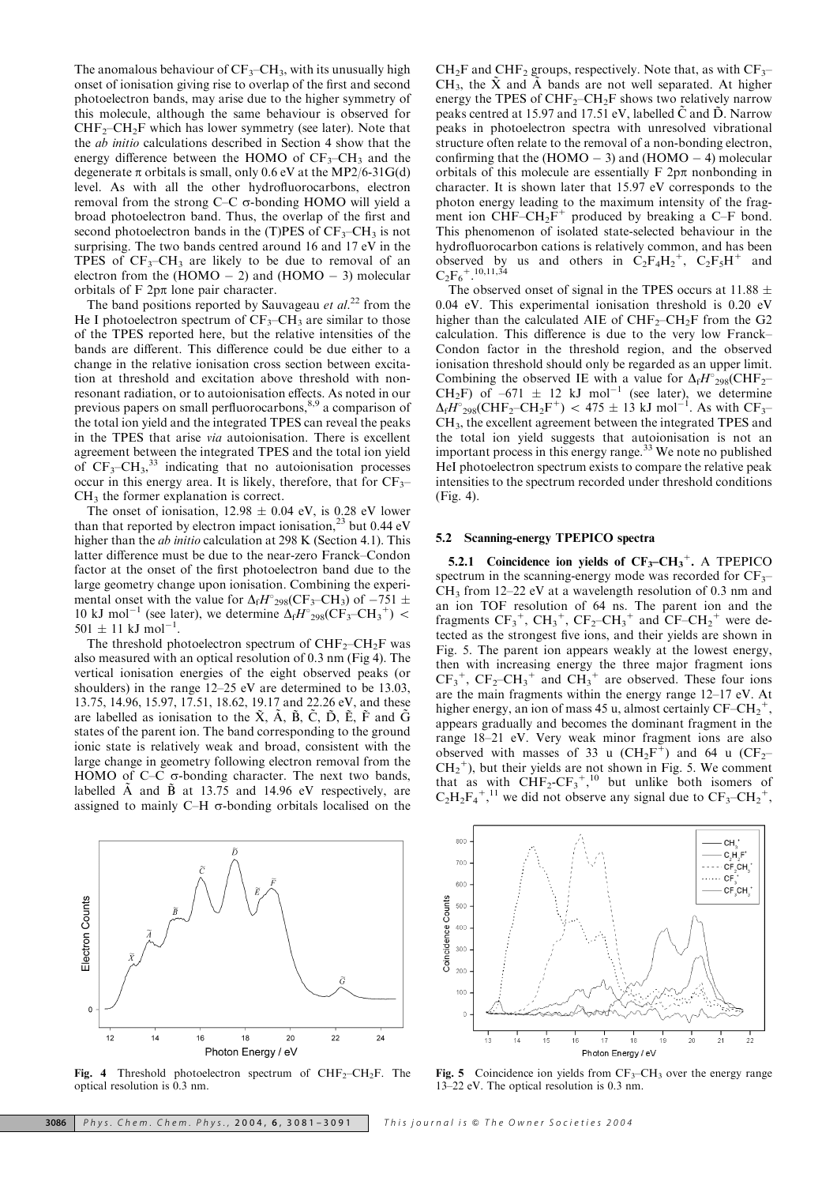The anomalous behaviour of  $CF_3-CH_3$ , with its unusually high onset of ionisation giving rise to overlap of the first and second photoelectron bands, may arise due to the higher symmetry of this molecule, although the same behaviour is observed for  $CHF<sub>2</sub>-CH<sub>2</sub>F$  which has lower symmetry (see later). Note that the ab initio calculations described in Section 4 show that the energy difference between the HOMO of  $CF_3-CH_3$  and the degenerate  $\pi$  orbitals is small, only 0.6 eV at the MP2/6-31G(d) level. As with all the other hydrofluorocarbons, electron removal from the strong  $C-C$   $\sigma$ -bonding HOMO will yield a broad photoelectron band. Thus, the overlap of the first and second photoelectron bands in the (T)PES of  $CF_3-CH_3$  is not surprising. The two bands centred around 16 and 17 eV in the TPES of  $CF_3-CH_3$  are likely to be due to removal of an electron from the (HOMO  $-$  2) and (HOMO  $-$  3) molecular orbitals of  $F$  2p $\pi$  lone pair character.

The band positions reported by Sauvageau et  $al$ <sup>22</sup> from the He I photoelectron spectrum of  $CF_3-CH_3$  are similar to those of the TPES reported here, but the relative intensities of the bands are different. This difference could be due either to a change in the relative ionisation cross section between excitation at threshold and excitation above threshold with nonresonant radiation, or to autoionisation effects. As noted in our previous papers on small perfluorocarbons,<sup>8,9</sup> a comparison of the total ion yield and the integrated TPES can reveal the peaks in the TPES that arise via autoionisation. There is excellent agreement between the integrated TPES and the total ion yield of  $CF_3-CH_3$ ,<sup>33</sup> indicating that no autoionisation processes occur in this energy area. It is likely, therefore, that for  $CF_3$ - $CH<sub>3</sub>$  the former explanation is correct.

The onset of ionisation,  $12.98 \pm 0.04$  eV, is 0.28 eV lower than that reported by electron impact ionisation, $^{23}$  but 0.44 eV higher than the ab initio calculation at 298 K (Section 4.1). This latter difference must be due to the near-zero Franck–Condon factor at the onset of the first photoelectron band due to the large geometry change upon ionisation. Combining the experimental onset with the value for  $\Delta_f H^{\circ}_{298}(\text{CF}_3-\text{CH}_3)$  of  $-751 \pm 10^{11}$ 10 kJ mol<sup>-1</sup> (see later), we determine  $\Delta_f H_{298}^{\circ}(\text{CF}_{3} - \text{CH}_{3}^+)$  <  $501 \pm 11 \text{ kJ} \text{ mol}^{-1}$ .

The threshold photoelectron spectrum of  $CHF_2$ –CH<sub>2</sub>F was also measured with an optical resolution of 0.3 nm (Fig 4). The vertical ionisation energies of the eight observed peaks (or shoulders) in the range 12–25 eV are determined to be 13.03, 13.75, 14.96, 15.97, 17.51, 18.62, 19.17 and 22.26 eV, and these are labelled as ionisation to the  $\tilde{X}$ ,  $\tilde{A}$ ,  $\tilde{B}$ ,  $\tilde{C}$ ,  $\tilde{D}$ ,  $\tilde{E}$ ,  $\tilde{F}$  and  $\tilde{G}$ states of the parent ion. The band corresponding to the ground ionic state is relatively weak and broad, consistent with the large change in geometry following electron removal from the HOMO of C–C  $\sigma$ -bonding character. The next two bands, labelled  $\tilde{A}$  and  $\tilde{B}$  at 13.75 and 14.96 eV respectively, are assigned to mainly C–H  $\sigma$ -bonding orbitals localised on the

 $CH_2F$  and  $CHF_2$  groups, respectively. Note that, as with  $CF_3$ – CH<sub>3</sub>, the  $\tilde{X}$  and  $\tilde{A}$  bands are not well separated. At higher energy the TPES of  $CHF_2–CH_2F$  shows two relatively narrow peaks centred at 15.97 and 17.51 eV, labelled  $\tilde{C}$  and  $\tilde{D}$ . Narrow peaks in photoelectron spectra with unresolved vibrational structure often relate to the removal of a non-bonding electron, confirming that the  $(HOMO - 3)$  and  $(HOMO - 4)$  molecular orbitals of this molecule are essentially  $F 2p\pi$  nonbonding in character. It is shown later that 15.97 eV corresponds to the photon energy leading to the maximum intensity of the fragment ion  $CHF-CH_2F^+$  produced by breaking a C–F bond. This phenomenon of isolated state-selected behaviour in the hydrofluorocarbon cations is relatively common, and has been observed by us and others in  $C_2F_4H_2^+$ ,  $C_2F_5H^+$  and  $C_2F_6^{\;+10,11,34}$ 

The observed onset of signal in the TPES occurs at 11.88  $\pm$ 0.04 eV. This experimental ionisation threshold is 0.20 eV higher than the calculated AIE of  $CHF_2$ –CH<sub>2</sub>F from the G<sub>2</sub> calculation. This difference is due to the very low Franck– Condon factor in the threshold region, and the observed ionisation threshold should only be regarded as an upper limit. Combining the observed IE with a value for  $\Delta_f H^{\circ}{}_{298}(\text{CHF}_2$ -CH<sub>2</sub>F) of  $-671 \pm 12$  kJ mol<sup>-1</sup> (see later), we determine  $\Delta_f H^{\circ}_{298}(CHF_2-CH_2F^+)$  < 475  $\pm$  13 kJ mol<sup>-1</sup>. As with CF<sub>3</sub>-CH3, the excellent agreement between the integrated TPES and the total ion yield suggests that autoionisation is not an important process in this energy range.<sup>33</sup> We note no published HeI photoelectron spectrum exists to compare the relative peak intensities to the spectrum recorded under threshold conditions (Fig. 4).

#### 5.2 Scanning-energy TPEPICO spectra

5.2.1 Coincidence ion yields of  $CF_3-CH_3^+$ . A TPEPICO spectrum in the scanning-energy mode was recorded for  $CF_3$ –  $CH<sub>3</sub>$  from 12–22 eV at a wavelength resolution of 0.3 nm and an ion TOF resolution of 64 ns. The parent ion and the fragments  $CF_3^+$ ,  $CH_3^+$ ,  $CF_2$ - $CH_3^+$  and  $CF$ - $CH_2^+$  were detected as the strongest five ions, and their yields are shown in Fig. 5. The parent ion appears weakly at the lowest energy, then with increasing energy the three major fragment ions  $CF_3^+$ ,  $CF_2-CH_3^+$  and  $CH_3^+$  are observed. These four ions are the main fragments within the energy range 12–17 eV. At higher energy, an ion of mass 45 u, almost certainly  $CF-CH_2^+$ , appears gradually and becomes the dominant fragment in the range 18–21 eV. Very weak minor fragment ions are also observed with masses of 33 u ( $CH_2F^+$ ) and 64 u ( $CF_2$ –  $CH_2$ <sup>+</sup>), but their yields are not shown in Fig. 5. We comment that as with  $CHF_2-CF_3^+$ ,<sup>10</sup> but unlike both isomers of  $C_2H_2F_4^{\dagger}$ ,<sup>11</sup> we did not observe any signal due to  $CF_3-CH_2^{\dagger}$ ,



Fig. 4 Threshold photoelectron spectrum of  $CHF_2-CH_2F$ . The optical resolution is 0.3 nm.



Fig. 5 Coincidence ion yields from  $CF_3-CH_3$  over the energy range 13–22 eV. The optical resolution is 0.3 nm.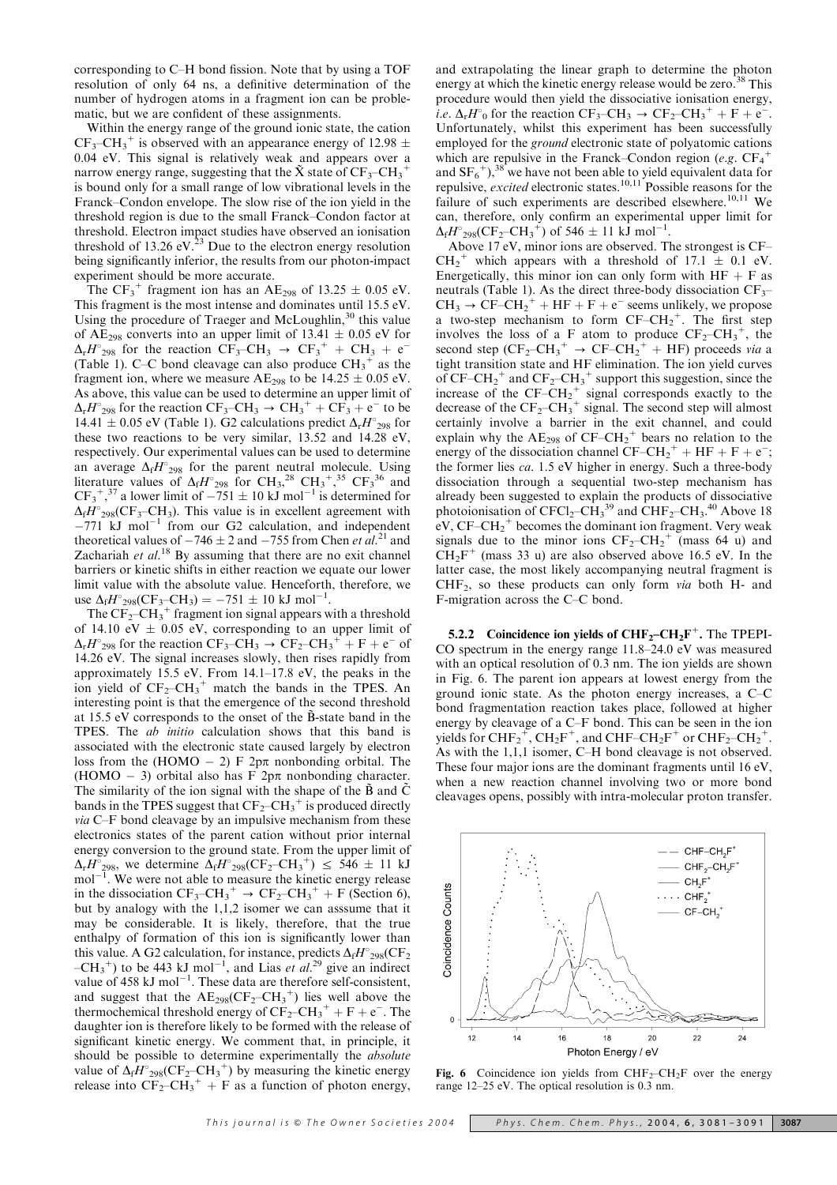corresponding to C–H bond fission. Note that by using a TOF resolution of only 64 ns, a definitive determination of the number of hydrogen atoms in a fragment ion can be problematic, but we are confident of these assignments.

Within the energy range of the ground ionic state, the cation  $CF_3-CH_3^+$  is observed with an appearance energy of 12.98  $\pm$ 0.04 eV. This signal is relatively weak and appears over a narrow energy range, suggesting that the  $\tilde{X}$  state of  $CF_3-CH_3^+$ is bound only for a small range of low vibrational levels in the Franck–Condon envelope. The slow rise of the ion yield in the threshold region is due to the small Franck–Condon factor at threshold. Electron impact studies have observed an ionisation threshold of 13.26 eV. $^{23}$  Due to the electron energy resolution being significantly inferior, the results from our photon-impact experiment should be more accurate.

The CF<sub>3</sub><sup>+</sup> fragment ion has an AE<sub>298</sub> of 13.25  $\pm$  0.05 eV. This fragment is the most intense and dominates until 15.5 eV. Using the procedure of Traeger and McLoughlin, $30$  this value of AE<sub>298</sub> converts into an upper limit of  $13.41 \pm 0.05$  eV for  $\Delta_{r}H_{298}^{\circ}$  for the reaction  $CF_{3}-CH_{3} \rightarrow CF_{3}^{+} + CH_{3} + e^{-}$ (Table 1). C–C bond cleavage can also produce  $\text{CH}_3^+$  as the fragment ion, where we measure  $AE_{298}$  to be  $14.25 \pm 0.05$  eV. As above, this value can be used to determine an upper limit of  $\Delta_{r}H^{\circ}_{298}$  for the reaction  $CF_{3}-CH_{3} \rightarrow CH_{3}^{+}+CF_{3} + e^{-}$  to be 14.41  $\pm$  0.05 eV (Table 1). G2 calculations predict  $\Delta_{\rm r}H_{298}^{\circ}$  for these two reactions to be very similar, 13.52 and 14.28 eV, respectively. Our experimental values can be used to determine an average  $\Delta_f H_{298}$  for the parent neutral molecule. Using literature values of  $\Delta_f H_{298}$  for CH<sub>3</sub>,<sup>28</sup> CH<sub>3</sub><sup>+</sup>,<sup>35</sup> CF<sub>3</sub><sup>36</sup> and  $CF_3^{\dagger}$ ,<sup>37</sup> a lower limit of  $-751 \pm 10 \text{ kJ}$  mol<sup>-1</sup> is determined for  $\Delta_f H^{\circ}_{298}(\text{CF}_3-\text{CH}_3)$ . This value is in excellent agreement with  $-771$  kJ mol<sup>-1</sup> from our G2 calculation, and independent theoretical values of  $-746 \pm 2$  and  $-755$  from Chen et al.<sup>21</sup> and Zachariah et  $al$ .<sup>18</sup> By assuming that there are no exit channel barriers or kinetic shifts in either reaction we equate our lower limit value with the absolute value. Henceforth, therefore, we use  $\Delta_f H^{\circ}{}_{298}(\text{CF}_3-\text{CH}_3) = -751 \pm 10 \text{ kJ} \text{ mol}^{-1}$ .

The  $CF_2-CH_3^+$  fragment ion signal appears with a threshold of 14.10 eV  $\pm$  0.05 eV, corresponding to an upper limit of  $\Delta_{r}H^{\circ}_{298}$  for the reaction  $CF_{3}-CH_{3} \rightarrow CF_{2}-CH_{3}^{+} + F + e^{-}$  of 14.26 eV. The signal increases slowly, then rises rapidly from approximately 15.5 eV. From 14.1–17.8 eV, the peaks in the ion yield of  $CF_2-CH_3^+$  match the bands in the TPES. An interesting point is that the emergence of the second threshold at 15.5 eV corresponds to the onset of the B-state band in the TPES. The ab initio calculation shows that this band is associated with the electronic state caused largely by electron loss from the (HOMO  $-$  2) F  $2p\pi$  nonbonding orbital. The (HOMO  $-$  3) orbital also has F  $2p\pi$  nonbonding character. The similarity of the ion signal with the shape of the  $\tilde{B}$  and  $\tilde{C}$ bands in the TPES suggest that  $CF_2-CH_3^+$  is produced directly via C–F bond cleavage by an impulsive mechanism from these electronics states of the parent cation without prior internal energy conversion to the ground state. From the upper limit of  $\Delta_{r}H_{298}^{\circ}$ , we determine  $\Delta_{f}H_{298}^{\circ}(\text{CF}_{2}-\text{CH}_{3}^{+}) \leq 546 \pm 11$  kJ  $mol<sup>-1</sup>$ . We were not able to measure the kinetic energy release in the dissociation  $CF_3-CH_3^+ \rightarrow CF_2-CH_3^+ + F$  (Section 6), but by analogy with the 1,1,2 isomer we can asssume that it may be considerable. It is likely, therefore, that the true enthalpy of formation of this ion is significantly lower than this value. A G2 calculation, for instance, predicts  $\Delta_f H^{\circ}_{298}(\text{CF}_2)$  $-CH_3^+$ ) to be 443 kJ mol<sup>-1</sup>, and Lias *et al.*<sup>29</sup> give an indirect value of 458 kJ mol<sup>-1</sup>. These data are therefore self-consistent, and suggest that the  $AE_{298}(CF_2-CH_3^+)$  lies well above the thermochemical threshold energy of  $CF_2-CH_3^+ + F + e^-$ . The daughter ion is therefore likely to be formed with the release of significant kinetic energy. We comment that, in principle, it should be possible to determine experimentally the absolute value of  $\Delta_f H^{\circ}_{298}(\text{CF}_2\text{--CH}_3^+)$  by measuring the kinetic energy release into  $CF_2-CH_3^+ + F$  as a function of photon energy,

and extrapolating the linear graph to determine the photon energy at which the kinetic energy release would be zero.<sup>38</sup> This procedure would then yield the dissociative ionisation energy, i.e.  $\Delta_{r}H^{\circ}$  for the reaction  $CF_{3}-CH_{3} \rightarrow CF_{2}-CH_{3}^{+} + F + e^{-}$ . Unfortunately, whilst this experiment has been successfully employed for the *ground* electronic state of polyatomic cations which are repulsive in the Franck–Condon region (e.g.  $CF_4^+$ and  $SF_6^+$ ,<sup>38</sup> we have not been able to yield equivalent data for repulsive, excited electronic states.<sup>10,11</sup> Possible reasons for the failure of such experiments are described elsewhere.<sup>10,11</sup> We can, therefore, only confirm an experimental upper limit for  $\Delta_f H^{\circ}{}_{298}(\text{CF}_2\text{--CH}_3^+)$  of 546  $\pm$  11 kJ mol<sup>-1</sup>.

Above 17 eV, minor ions are observed. The strongest is CF–  $CH_2^+$  which appears with a threshold of 17.1  $\pm$  0.1 eV. Energetically, this minor ion can only form with  $HF + F$  as neutrals (Table 1). As the direct three-body dissociation  $CF_{3-}$  $CH_3 \rightarrow CF-CH_2^+ + HF + F + e^-$  seems unlikely, we propose a two-step mechanism to form  $CF-CH_2^+$ . The first step involves the loss of a F atom to produce  $CF_2-CH_3^+$ , the second step  $(CF_2-CH_3^+ \rightarrow CF-CH_2^+ + HF)$  proceeds via a tight transition state and HF elimination. The ion yield curves of CF–CH<sub>2</sub><sup>+</sup> and CF<sub>2</sub>–CH<sub>3</sub><sup>+</sup> support this suggestion, since the increase of the  $CF-CH_2^+$  signal corresponds exactly to the decrease of the  $CF_2-CH_3^+$  signal. The second step will almost certainly involve a barrier in the exit channel, and could explain why the  $AE_{298}$  of  $CF-CH_2^+$  bears no relation to the energy of the dissociation channel  $CF-CH_2^+ + HF + F + e^-$ ; the former lies ca. 1.5 eV higher in energy. Such a three-body dissociation through a sequential two-step mechanism has already been suggested to explain the products of dissociative photoionisation of  $CFCl_2-CH_3^{39}$  and  $CHF_2-CH_3^{40}$  Above 18  $eV$ , CF–CH<sub>2</sub><sup>+</sup> becomes the dominant ion fragment. Very weak signals due to the minor ions  $CF_2-CH_2^+$  (mass 64 u) and  $CH_2F^+$  (mass 33 u) are also observed above 16.5 eV. In the latter case, the most likely accompanying neutral fragment is  $CHF<sub>2</sub>$ , so these products can only form *via* both H- and F-migration across the C–C bond.

5.2.2 Coincidence ion yields of  $\text{CHF}_2-\text{CH}_2\text{F}^+$ . The TPEPI-CO spectrum in the energy range 11.8–24.0 eV was measured with an optical resolution of 0.3 nm. The ion yields are shown in Fig. 6. The parent ion appears at lowest energy from the ground ionic state. As the photon energy increases, a C–C bond fragmentation reaction takes place, followed at higher energy by cleavage of a C–F bond. This can be seen in the ion yields for  $\text{CHF}_2^+$ ,  $\text{CH}_2\text{F}^+$ , and  $\text{CHF--CH}_2\text{F}^+$  or  $\text{CHF}_2\text{--CH}_2^+$ . As with the 1,1,1 isomer, C–H bond cleavage is not observed. These four major ions are the dominant fragments until 16 eV, when a new reaction channel involving two or more bond cleavages opens, possibly with intra-molecular proton transfer.



Fig. 6 Coincidence ion yields from  $CHF_2-CH_2F$  over the energy range 12–25 eV. The optical resolution is 0.3 nm.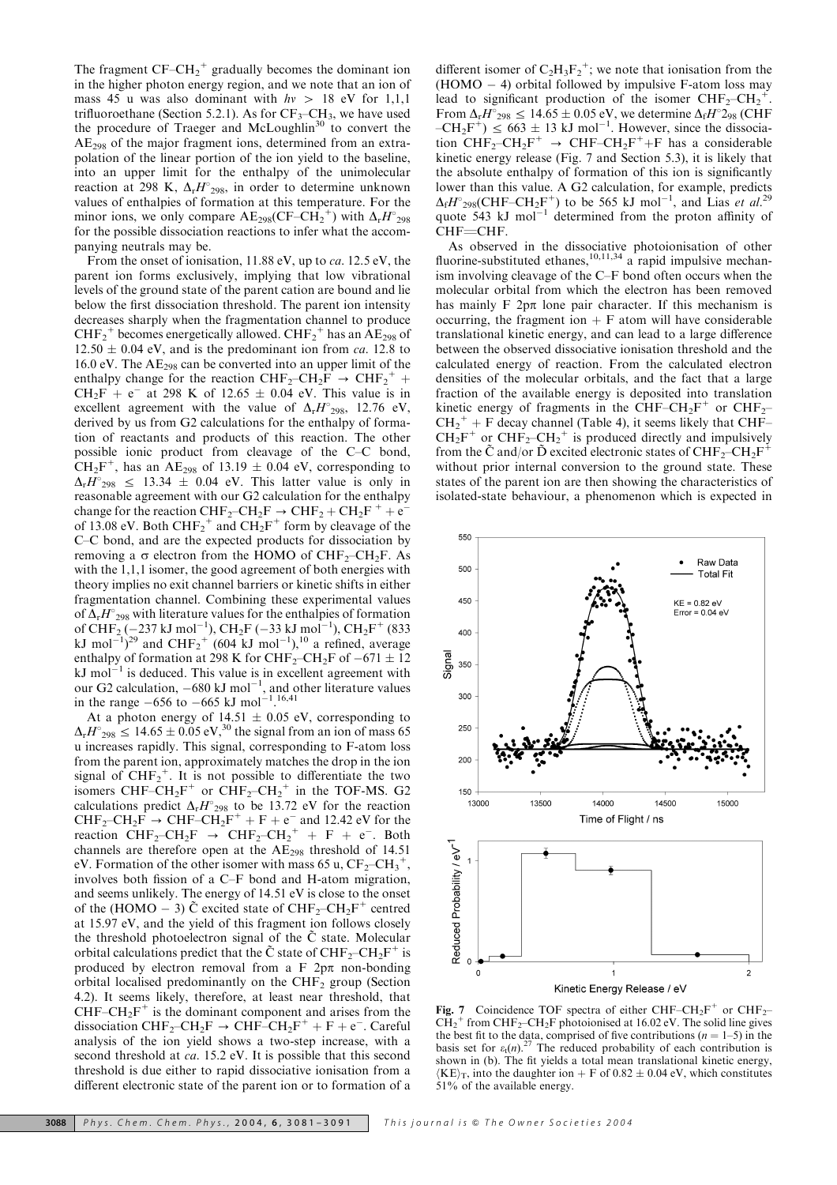The fragment  $CF-CH_2^+$  gradually becomes the dominant ion in the higher photon energy region, and we note that an ion of mass 45 u was also dominant with  $hv > 18$  eV for 1,1,1 trifluoroethane (Section 5.2.1). As for  $CF_3-CH_3$ , we have used the procedure of Traeger and McLoughlin<sup>30</sup> to convert the AE298 of the major fragment ions, determined from an extrapolation of the linear portion of the ion yield to the baseline, into an upper limit for the enthalpy of the unimolecular reaction at 298 K,  $\Delta_{r}H_{298}^{0}$ , in order to determine unknown values of enthalpies of formation at this temperature. For the minor ions, we only compare  $AE_{298}(CF-CH_2^+)$  with  $\Delta_r H_{298}$ for the possible dissociation reactions to infer what the accompanying neutrals may be.

From the onset of ionisation, 11.88 eV, up to ca. 12.5 eV, the parent ion forms exclusively, implying that low vibrational levels of the ground state of the parent cation are bound and lie below the first dissociation threshold. The parent ion intensity decreases sharply when the fragmentation channel to produce  $CHF_2^+$  becomes energetically allowed.  $CHF_2^+$  has an AE<sub>298</sub> of  $12.50 \pm 0.04$  eV, and is the predominant ion from *ca*. 12.8 to 16.0 eV. The  $AE_{298}$  can be converted into an upper limit of the enthalpy change for the reaction  $CHF_2-CH_2F \rightarrow CHF_2^+ +$  $CH_2F + e^-$  at 298 K of 12.65  $\pm$  0.04 eV. This value is in excellent agreement with the value of  $\Delta_r H_{298}^{\circ}$ , 12.76 eV, derived by us from G2 calculations for the enthalpy of formation of reactants and products of this reaction. The other possible ionic product from cleavage of the C–C bond,  $CH_2F^+$ , has an AE<sub>298</sub> of 13.19  $\pm$  0.04 eV, corresponding to  $\Delta_{r}H^{\circ}{}_{298} \leq 13.34 \pm 0.04$  eV. This latter value is only in reasonable agreement with our G2 calculation for the enthalpy change for the reaction  $CHF_2-CH_2F \rightarrow CHF_2 + CH_2F^+ + e^$ of 13.08 eV. Both  $CHF_2^+$  and  $CH_2F^+$  form by cleavage of the C–C bond, and are the expected products for dissociation by removing a  $\sigma$  electron from the HOMO of CHF<sub>2</sub>–CH<sub>2</sub>F. As with the 1,1,1 isomer, the good agreement of both energies with theory implies no exit channel barriers or kinetic shifts in either fragmentation channel. Combining these experimental values of  $\Delta_r H^{\circ}{}_{298}$  with literature values for the enthalpies of formation of CHF<sub>2</sub>(-237 kJ mol<sup>-1</sup>), CH<sub>2</sub>F (-33 kJ mol<sup>-1</sup>), CH<sub>2</sub>F<sup>+</sup> (833) kJ mol<sup>-1</sup>)<sup>29</sup> and CHF<sub>2</sub><sup>+</sup> (604 kJ mol<sup>-1</sup>),<sup>10</sup> a refined, average enthalpy of formation at 298 K for  $\mathrm{CHF_{2}-CH_{2}F}$  of  $-671\pm12$  $kJ$  mol<sup>-1</sup> is deduced. This value is in excellent agreement with our G2 calculation,  $-680 \text{ kJ} \text{ mol}^{-1}$ , and other literature values in the range  $-656$  to  $-665$  kJ mol<sup>-1</sup>.<sup>16,41</sup>

At a photon energy of  $14.51 \pm 0.05$  eV, corresponding to  $\Delta_{r}H^{\circ}{}_{298} \leq 14.65 \pm 0.05 \text{ eV}^{30}$  the signal from an ion of mass 65 u increases rapidly. This signal, corresponding to F-atom loss from the parent ion, approximately matches the drop in the ion signal of  $CHF_2^+$ . It is not possible to differentiate the two isomers CHF–CH<sub>2</sub>F<sup>+</sup> or CHF<sub>2</sub>–CH<sub>2</sub><sup>+</sup> in the TOF-MS. G2 calculations predict  $\Delta_{r}H_{298}^{0}$  to be 13.72 eV for the reaction  $CHF_2-CH_2F \rightarrow CHF-CH_2F^+ + F + e^-$  and 12.42 eV for the reaction  $CHF_2-CH_2F \rightarrow CHF_2-CH_2^+ + F + e^-$ . Both channels are therefore open at the AE298 threshold of 14.51 eV. Formation of the other isomer with mass 65 u,  $CF_2-CH_3^+$ , involves both fission of a C–F bond and H-atom migration, and seems unlikely. The energy of 14.51 eV is close to the onset of the (HOMO – 3) C excited state of  $CHF_2-CH_2F^+$  centred at 15.97 eV, and the yield of this fragment ion follows closely the threshold photoelectron signal of the  $\tilde{C}$  state. Molecular orbital calculations predict that the  $\tilde{C}$  state of  $CHF_2-CH_2F^+$  is produced by electron removal from a F  $2p\pi$  non-bonding orbital localised predominantly on the  $CHF<sub>2</sub>$  group (Section 4.2). It seems likely, therefore, at least near threshold, that  $CHF-CH_2F^+$  is the dominant component and arises from the dissociation CHF<sub>2</sub>-CH<sub>2</sub>F  $\rightarrow$  CHF-CH<sub>2</sub>F<sup>+</sup> + F + e<sup>-</sup>. Careful analysis of the ion yield shows a two-step increase, with a second threshold at ca. 15.2 eV. It is possible that this second threshold is due either to rapid dissociative ionisation from a different electronic state of the parent ion or to formation of a

different isomer of  $C_2H_3F_2^+$ ; we note that ionisation from the  $(HOMO - 4)$  orbital followed by impulsive F-atom loss may lead to significant production of the isomer  $CHF_2-CH_2^+$ . From  $\Delta_{r}H^{\circ}_{298} \le 14.65 \pm 0.05$  eV, we determine  $\Delta_{f}H^{\circ}_{298}$  (CHF  $-CH_2F^+$ )  $\leq 663 \pm 13$  kJ mol<sup>-1</sup>. However, since the dissociation  $CHF_2-CH_2F^+ \rightarrow CHF-CH_2F^+ + F$  has a considerable kinetic energy release (Fig. 7 and Section 5.3), it is likely that the absolute enthalpy of formation of this ion is significantly lower than this value. A G2 calculation, for example, predicts  $\Delta_f H^{\circ}$ <sub>298</sub>(CHF–CH<sub>2</sub>F<sup>+</sup>) to be 565 kJ mol<sup>-1</sup>, and Lias *et al.*<sup>29</sup> quote 543 kJ mol<sup>-1</sup> determined from the proton affinity of CHF=CHF.

As observed in the dissociative photoionisation of other fluorine-substituted ethanes,  $10,11,34$  a rapid impulsive mechanism involving cleavage of the C–F bond often occurs when the molecular orbital from which the electron has been removed has mainly  $F$  2p $\pi$  lone pair character. If this mechanism is occurring, the fragment ion  $+$  F atom will have considerable translational kinetic energy, and can lead to a large difference between the observed dissociative ionisation threshold and the calculated energy of reaction. From the calculated electron densities of the molecular orbitals, and the fact that a large fraction of the available energy is deposited into translation kinetic energy of fragments in the CHF–CH<sub>2</sub>F<sup>+</sup> or CHF<sub>2</sub>–  $CH_2^+ + F$  decay channel (Table 4), it seems likely that CHF–  $CH_2F^+$  or  $CHF_2-CH_2^+$  is produced directly and impulsively from the C and/or D excited electronic states of  $CHF_2-CH_2F$ without prior internal conversion to the ground state. These states of the parent ion are then showing the characteristics of isolated-state behaviour, a phenomenon which is expected in



Fig. 7 Coincidence TOF spectra of either CHF–CH<sub>2</sub>F<sup>+</sup> or CHF<sub>2</sub>- $\tilde{\text{CH}_2}^+$  from CHF<sub>2</sub>–CH<sub>2</sub>F photoionised at 16.02 eV. The solid line gives the best fit to the data, comprised of five contributions ( $n = 1-5$ ) in the basis set for  $\varepsilon_t(n)$ .<sup>27</sup> The reduced probability of each contribution is shown in (b). The fit yields a total mean translational kinetic energy,  $\langle KE \rangle_T$ , into the daughter ion + F of 0.82  $\pm$  0.04 eV, which constitutes 51% of the available energy.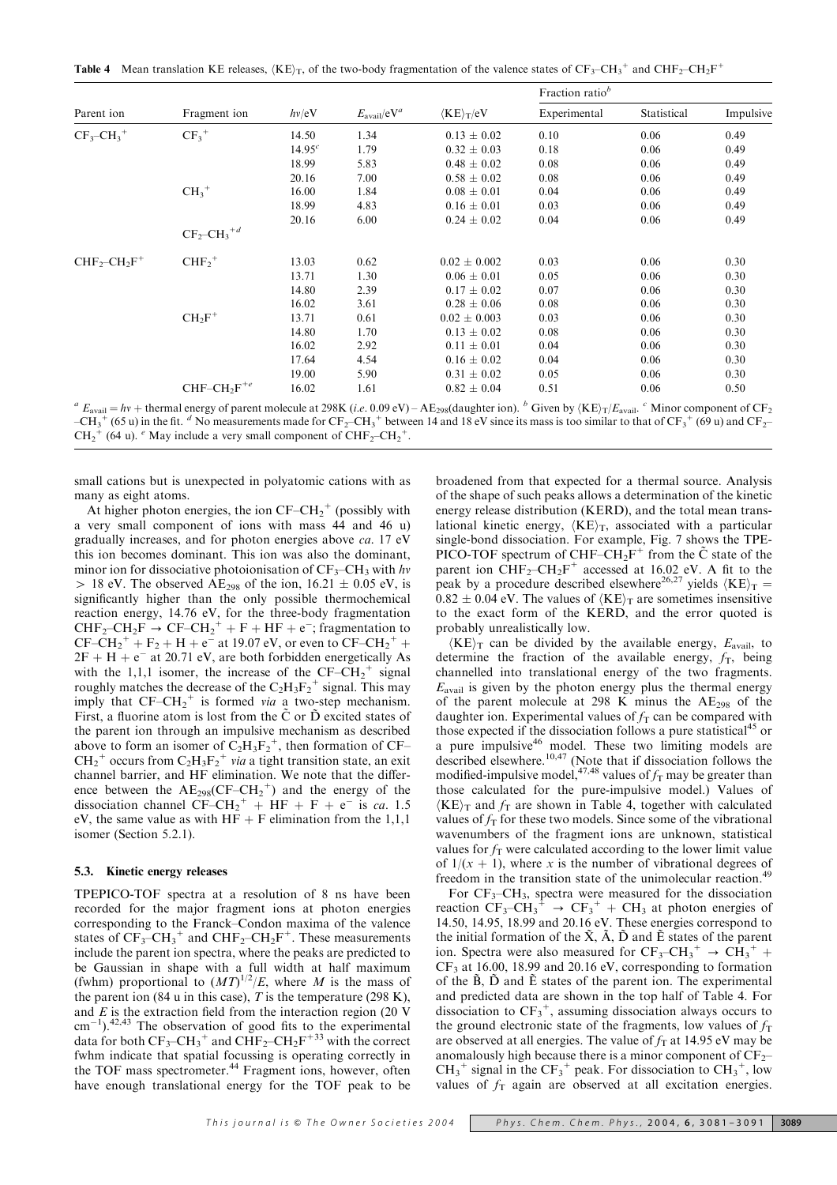**Table 4** Mean translation KE releases,  $\langle KE \rangle_T$ , of the two-body fragmentation of the valence states of  $CF_3-CH_3^+$  and  $CHF_2-CH_2F^+$ 

|                                      | Fragment ion                          | hv/eV       |                         |                  | Fraction ratio <sup>b</sup> |             |           |
|--------------------------------------|---------------------------------------|-------------|-------------------------|------------------|-----------------------------|-------------|-----------|
| Parent ion                           |                                       |             | $E_{\text{avail}}/eV^a$ | $K E_{\rm T}/eV$ | Experimental                | Statistical | Impulsive |
| $CF_3$ -CH <sub>3</sub> <sup>+</sup> | $CF_3^+$                              | 14.50       | 1.34                    | $0.13 \pm 0.02$  | 0.10                        | 0.06        | 0.49      |
|                                      |                                       | $14.95^{c}$ | 1.79                    | $0.32 \pm 0.03$  | 0.18                        | 0.06        | 0.49      |
|                                      |                                       | 18.99       | 5.83                    | $0.48 \pm 0.02$  | 0.08                        | 0.06        | 0.49      |
|                                      |                                       | 20.16       | 7.00                    | $0.58 \pm 0.02$  | 0.08                        | 0.06        | 0.49      |
|                                      | $CH_3^+$                              | 16.00       | 1.84                    | $0.08 \pm 0.01$  | 0.04                        | 0.06        | 0.49      |
|                                      |                                       | 18.99       | 4.83                    | $0.16 \pm 0.01$  | 0.03                        | 0.06        | 0.49      |
|                                      |                                       | 20.16       | 6.00                    | $0.24 \pm 0.02$  | 0.04                        | 0.06        | 0.49      |
|                                      | $CF_2$ -CH <sub>3</sub> <sup>+d</sup> |             |                         |                  |                             |             |           |
| $CHF2-CH2F+$                         | $CHF2+$                               | 13.03       | 0.62                    | $0.02 \pm 0.002$ | 0.03                        | 0.06        | 0.30      |
|                                      |                                       | 13.71       | 1.30                    | $0.06 \pm 0.01$  | 0.05                        | 0.06        | 0.30      |
|                                      |                                       | 14.80       | 2.39                    | $0.17 \pm 0.02$  | 0.07                        | 0.06        | 0.30      |
|                                      |                                       | 16.02       | 3.61                    | $0.28 \pm 0.06$  | 0.08                        | 0.06        | 0.30      |
|                                      | $CH_2F^+$                             | 13.71       | 0.61                    | $0.02 \pm 0.003$ | 0.03                        | 0.06        | 0.30      |
|                                      |                                       | 14.80       | 1.70                    | $0.13 \pm 0.02$  | 0.08                        | 0.06        | 0.30      |
|                                      |                                       | 16.02       | 2.92                    | $0.11 \pm 0.01$  | 0.04                        | 0.06        | 0.30      |
|                                      |                                       | 17.64       | 4.54                    | $0.16 \pm 0.02$  | 0.04                        | 0.06        | 0.30      |
|                                      |                                       | 19.00       | 5.90                    | $0.31 \pm 0.02$  | 0.05                        | 0.06        | 0.30      |
|                                      | $CHF-CH_2F^{+e}$                      | 16.02       | 1.61                    | $0.82 \pm 0.04$  | 0.51                        | 0.06        | 0.50      |

<sup>a</sup>  $E_{\text{avail}} = hv + \text{thermal energy of parent molecule at 298K}$  (i.e. 0.09 eV) – AE<sub>298</sub>(daughter ion). <sup>b</sup> Given by  $\langle KE \rangle_T / E_{\text{avail}}$ . <sup>c</sup> Minor component of CF<sub>2</sub>  $-CH_3^+$  (65 u) in the fit. <sup>d</sup> No measurements made for CF<sub>2</sub>-CH<sub>3</sub><sup>+</sup> between 14 and 18 eV since its mass is too similar to that of CF<sub>3</sub><sup>+</sup> (69 u) and CF<sub>2</sub>- $CH_2^+$  (64 u). <sup>e</sup> May include a very small component of  $CHF_2-CH_2^+$ .

small cations but is unexpected in polyatomic cations with as many as eight atoms.

At higher photon energies, the ion  $CF-CH_2^+$  (possibly with a very small component of ions with mass 44 and 46 u) gradually increases, and for photon energies above ca. 17 eV this ion becomes dominant. This ion was also the dominant, minor ion for dissociative photoionisation of  $CF_3-CH_3$  with hv  $> 18$  eV. The observed AE<sub>298</sub> of the ion, 16.21  $\pm$  0.05 eV, is significantly higher than the only possible thermochemical reaction energy, 14.76 eV, for the three-body fragmentation  $CHF_2-CH_2F \rightarrow CF-CH_2^+ + F + HF + e^-$ ; fragmentation to  $CF-CH_2^+ + F_2 + H + e^-$  at 19.07 eV, or even to  $CF-CH_2^+ +$  $2F + H + e^{-}$  at 20.71 eV, are both forbidden energetically As with the 1,1,1 isomer, the increase of the  $CF-\overline{CH}_2^+$  signal roughly matches the decrease of the  $C_2H_3F_2^+$  signal. This may imply that  $CF-CH_2^+$  is formed via a two-step mechanism. First, a fluorine atom is lost from the  $\tilde{C}$  or  $\tilde{D}$  excited states of the parent ion through an impulsive mechanism as described above to form an isomer of  $C_2H_3F_2^+$ , then formation of CF–  $CH_2^+$  occurs from  $C_2H_3F_2^+$  via a tight transition state, an exit channel barrier, and HF elimination. We note that the difference between the  $AE_{298}(CF-CH_2^+)$  and the energy of the dissociation channel  $CF-CH_2^+ + HF + F + e^-$  is ca. 1.5 eV, the same value as with  $HF + F$  elimination from the 1,1,1 isomer (Section 5.2.1).

#### 5.3. Kinetic energy releases

TPEPICO-TOF spectra at a resolution of 8 ns have been recorded for the major fragment ions at photon energies corresponding to the Franck–Condon maxima of the valence states of  $CF_3-CH_3^+$  and  $CHF_2-CH_2F^+$ . These measurements include the parent ion spectra, where the peaks are predicted to be Gaussian in shape with a full width at half maximum (fwhm) proportional to  $(MT)^{1/2}/E$ , where M is the mass of the parent ion (84 u in this case),  $T$  is the temperature (298 K), and E is the extraction field from the interaction region (20 V  $\text{cm}^{-1}$ ).<sup>42,43</sup> The observation of good fits to the experimental data for both  $CF_3-CH_3^+$  and  $CHF_2-CH_2F^{+33}$  with the correct fwhm indicate that spatial focussing is operating correctly in the TOF mass spectrometer.<sup>44</sup> Fragment ions, however, often have enough translational energy for the TOF peak to be

broadened from that expected for a thermal source. Analysis of the shape of such peaks allows a determination of the kinetic energy release distribution (KERD), and the total mean translational kinetic energy,  $\langle KE \rangle_T$ , associated with a particular single-bond dissociation. For example, Fig. 7 shows the TPE-PICO-TOF spectrum of CHF–CH<sub>2</sub>F<sup>+</sup> from the  $\tilde{C}$  state of the parent ion  $CHF_2-CH_2F^+$  accessed at 16.02 eV. A fit to the peak by a procedure described elsewhere<sup>26,27</sup> yields  $\langle KE \rangle_T =$  $0.82 \pm 0.04$  eV. The values of  $\langle KE \rangle_T$  are sometimes insensitive to the exact form of the KERD, and the error quoted is probably unrealistically low.

 $\langle KE \rangle_T$  can be divided by the available energy,  $E_{\text{avail}}$ , to determine the fraction of the available energy,  $f<sub>T</sub>$ , being channelled into translational energy of the two fragments.  $E_{\text{avail}}$  is given by the photon energy plus the thermal energy of the parent molecule at 298 K minus the  $AE_{298}$  of the daughter ion. Experimental values of  $f<sub>T</sub>$  can be compared with those expected if the dissociation follows a pure statistical<sup>45</sup> or a pure impulsive<sup>46</sup> model. These two limiting models are described elsewhere.<sup>10,47</sup> (Note that if dissociation follows the modified-impulsive model,<sup>47,48</sup> values of  $f<sub>T</sub>$  may be greater than those calculated for the pure-impulsive model.) Values of  $\langle KE \rangle_T$  and  $f_T$  are shown in Table 4, together with calculated values of  $f<sub>T</sub>$  for these two models. Since some of the vibrational wavenumbers of the fragment ions are unknown, statistical values for  $f<sub>T</sub>$  were calculated according to the lower limit value of  $1/(x + 1)$ , where x is the number of vibrational degrees of freedom in the transition state of the unimolecular reaction.<sup>4</sup>

For  $CF_3-CH_3$ , spectra were measured for the dissociation reaction  $CF_3-CH_3^+ \rightarrow CF_3^+ + CH_3$  at photon energies of 14.50, 14.95, 18.99 and 20.16 eV. These energies correspond to the initial formation of the  $\tilde{X}$ ,  $\tilde{A}$ ,  $\tilde{D}$  and  $\tilde{E}$  states of the parent ion. Spectra were also measured for  $CF_3-CH_3^+ \rightarrow CH_3^+ +$  $CF<sub>3</sub>$  at 16.00, 18.99 and 20.16 eV, corresponding to formation of the  $\tilde{B}$ ,  $\tilde{D}$  and  $\tilde{E}$  states of the parent ion. The experimental and predicted data are shown in the top half of Table 4. For dissociation to  $CF_3^+$ , assuming dissociation always occurs to the ground electronic state of the fragments, low values of  $f<sub>T</sub>$ are observed at all energies. The value of  $f<sub>T</sub>$  at 14.95 eV may be anomalously high because there is a minor component of  $CF_2$ –  $CH_3^+$  signal in the  $CF_3^+$  peak. For dissociation to  $CH_3^+$ , low values of  $f<sub>T</sub>$  again are observed at all excitation energies.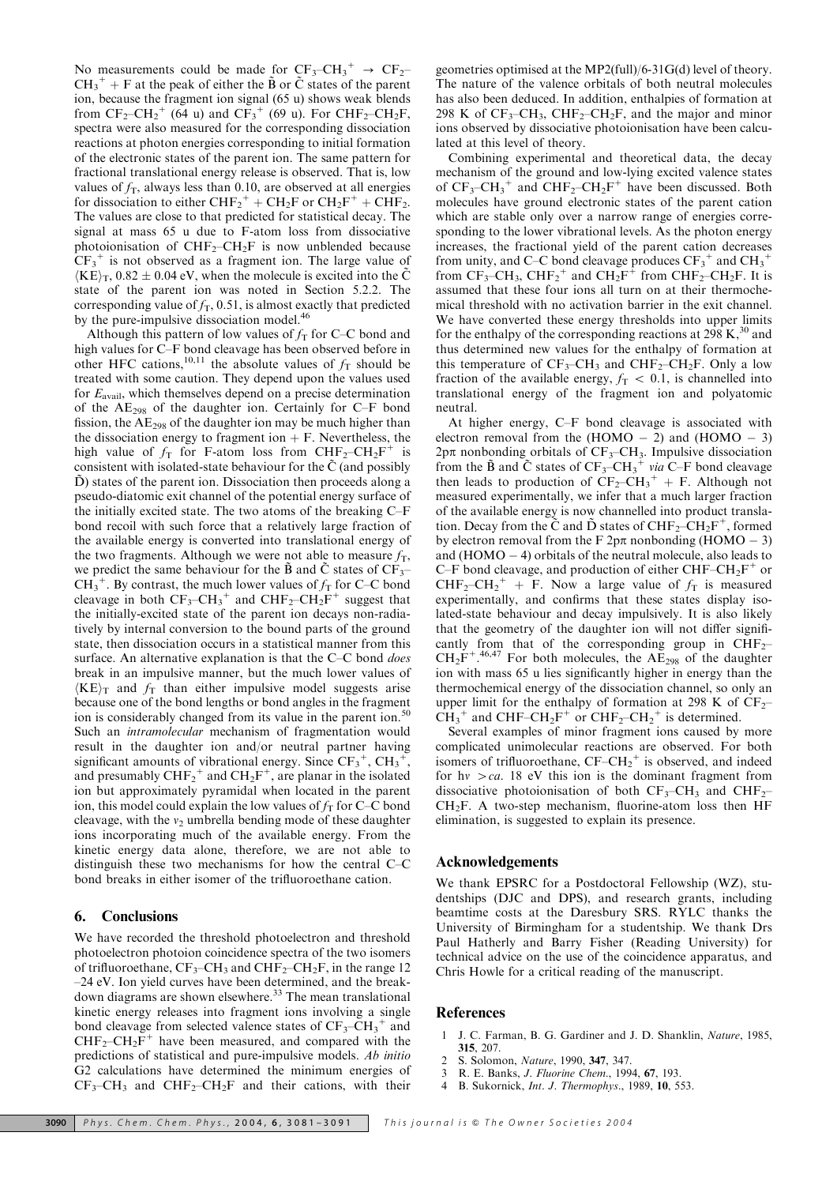No measurements could be made for  $CF_3-CH_3^+ \rightarrow CF_2 CH_3^+ + F$  at the peak of either the  $\tilde{B}$  or  $\tilde{C}$  states of the parent ion, because the fragment ion signal (65 u) shows weak blends from  $CF_2-CH_2^+$  (64 u) and  $CF_3^+$  (69 u). For  $CHF_2-CH_2F$ , spectra were also measured for the corresponding dissociation reactions at photon energies corresponding to initial formation of the electronic states of the parent ion. The same pattern for fractional translational energy release is observed. That is, low values of  $f<sub>T</sub>$ , always less than 0.10, are observed at all energies for dissociation to either  $\text{CHF}_2^+ + \text{CH}_2\text{F}$  or  $\text{CH}_2\text{F}^+ + \text{CHF}_2$ . The values are close to that predicted for statistical decay. The signal at mass 65 u due to F-atom loss from dissociative photoionisation of  $CHF_2$ – $CH_2F$  is now unblended because  $CF_3$ <sup>+</sup> is not observed as a fragment ion. The large value of  $\langle KE \rangle_T$ , 0.82  $\pm$  0.04 eV, when the molecule is excited into the  $\tilde{C}$ state of the parent ion was noted in Section 5.2.2. The corresponding value of  $f_T$ , 0.51, is almost exactly that predicted by the pure-impulsive dissociation model.<sup>46</sup>

Although this pattern of low values of  $f<sub>T</sub>$  for C–C bond and high values for C–F bond cleavage has been observed before in other HFC cations,<sup>10,11</sup> the absolute values of  $f<sub>T</sub>$  should be treated with some caution. They depend upon the values used for  $E_{\text{avail}}$ , which themselves depend on a precise determination of the  $AE_{298}$  of the daughter ion. Certainly for C–F bond fission, the AE298 of the daughter ion may be much higher than the dissociation energy to fragment ion  $+ F$ . Nevertheless, the high value of  $f_T$  for F-atom loss from  $CHF_2-CH_2F^+$  is consistent with isolated-state behaviour for the  $\tilde{C}$  (and possibly  $\ddot{D}$ ) states of the parent ion. Dissociation then proceeds along a pseudo-diatomic exit channel of the potential energy surface of the initially excited state. The two atoms of the breaking C–F bond recoil with such force that a relatively large fraction of the available energy is converted into translational energy of the two fragments. Although we were not able to measure  $f<sub>T</sub>$ , we predict the same behaviour for the  $\tilde{B}$  and  $\tilde{C}$  states of CF<sub>3</sub>–  $CH_3^+$ . By contrast, the much lower values of  $f_T$  for C–C bond cleavage in both  $CF_3-CH_3^+$  and  $CHF_2-CH_2F^+$  suggest that the initially-excited state of the parent ion decays non-radiatively by internal conversion to the bound parts of the ground state, then dissociation occurs in a statistical manner from this surface. An alternative explanation is that the C–C bond *does* break in an impulsive manner, but the much lower values of  $\langle KE \rangle_T$  and  $f_T$  than either impulsive model suggests arise because one of the bond lengths or bond angles in the fragment ion is considerably changed from its value in the parent ion.<sup>50</sup> Such an *intramolecular* mechanism of fragmentation would result in the daughter ion and/or neutral partner having significant amounts of vibrational energy. Since  $CF_3^+$ ,  $CH_3^+$ , and presumably  $\text{CHF}_2^+$  and  $\text{CH}_2\text{F}^+$ , are planar in the isolated ion but approximately pyramidal when located in the parent ion, this model could explain the low values of  $f<sub>T</sub>$  for C–C bond cleavage, with the  $v_2$  umbrella bending mode of these daughter ions incorporating much of the available energy. From the kinetic energy data alone, therefore, we are not able to distinguish these two mechanisms for how the central C–C bond breaks in either isomer of the trifluoroethane cation.

# 6. Conclusions

We have recorded the threshold photoelectron and threshold photoelectron photoion coincidence spectra of the two isomers of trifluoroethane,  $CF_3-CH_3$  and  $CHF_2-CH_2F$ , in the range 12 –24 eV. Ion yield curves have been determined, and the breakdown diagrams are shown elsewhere.<sup>33</sup> The mean translational kinetic energy releases into fragment ions involving a single bond cleavage from selected valence states of  $CF_3-CH_3^+$  and  $CHF<sub>2</sub>-CH<sub>2</sub>F<sup>+</sup>$  have been measured, and compared with the predictions of statistical and pure-impulsive models. Ab initio G2 calculations have determined the minimum energies of  $CF_3-CH_3$  and  $CHF_2-CH_2F$  and their cations, with their geometries optimised at the MP2(full)/6-31G(d) level of theory. The nature of the valence orbitals of both neutral molecules has also been deduced. In addition, enthalpies of formation at 298 K of  $CF_3-CH_3$ ,  $CHF_2-CH_2F$ , and the major and minor ions observed by dissociative photoionisation have been calculated at this level of theory.

Combining experimental and theoretical data, the decay mechanism of the ground and low-lying excited valence states of  $CF_3-CH_3^+$  and  $CHF_2-CH_2F^+$  have been discussed. Both molecules have ground electronic states of the parent cation which are stable only over a narrow range of energies corresponding to the lower vibrational levels. As the photon energy increases, the fractional yield of the parent cation decreases from unity, and C–C bond cleavage produces  $CF_3^+$  and  $CH_3^+$ from  $CF_3$ -CH<sub>3</sub>, CHF<sub>2</sub><sup>+</sup> and CH<sub>2</sub>F<sup>+</sup> from CHF<sub>2</sub>-CH<sub>2</sub>F. It is assumed that these four ions all turn on at their thermochemical threshold with no activation barrier in the exit channel. We have converted these energy thresholds into upper limits for the enthalpy of the corresponding reactions at 298 K, $30$  and thus determined new values for the enthalpy of formation at this temperature of  $CF_3-CH_3$  and  $CHF_2-CH_2F$ . Only a low fraction of the available energy,  $f<sub>T</sub> < 0.1$ , is channelled into translational energy of the fragment ion and polyatomic neutral.

At higher energy, C–F bond cleavage is associated with electron removal from the  $(HOMO - 2)$  and  $(HOMO - 3)$  $2p\pi$  nonbonding orbitals of  $CF_3-CH_3$ . Impulsive dissociation from the  $\tilde{B}$  and  $\tilde{C}$  states of  $CF_3-CH_3^+$  via C-F bond cleavage then leads to production of  $CF_2-CH_3^+ + F$ . Although not measured experimentally, we infer that a much larger fraction of the available energy is now channelled into product translation. Decay from the  $\tilde{C}$  and  $\tilde{D}$  states of CHF<sub>2</sub>–CH<sub>2</sub>F<sup>+</sup>, formed by electron removal from the F  $2p\pi$  nonbonding (HOMO – 3) and  $(HOMO - 4)$  orbitals of the neutral molecule, also leads to C–F bond cleavage, and production of either CHF–CH<sub>2</sub>F<sup>+</sup> or  $CHF_2-CH_2^+ + F.$  Now a large value of  $f_T$  is measured experimentally, and confirms that these states display isolated-state behaviour and decay impulsively. It is also likely that the geometry of the daughter ion will not differ significantly from that of the corresponding group in  $CHF_{2}$ - $CH_2F^{+.46,47}$  For both molecules, the  $AE_{298}$  of the daughter ion with mass 65 u lies significantly higher in energy than the thermochemical energy of the dissociation channel, so only an upper limit for the enthalpy of formation at 298 K of  $CF_2$ –  $CH_3^+$  and CHF–CH<sub>2</sub>F<sup>+</sup> or CHF<sub>2</sub>–CH<sub>2</sub><sup>+</sup> is determined.

Several examples of minor fragment ions caused by more complicated unimolecular reactions are observed. For both isomers of trifluoroethane,  $CF-CH_2^+$  is observed, and indeed for h $v > ca$ . 18 eV this ion is the dominant fragment from dissociative photoionisation of both  $CF_3-CH_3$  and  $CHF_2 CH<sub>2</sub>F$ . A two-step mechanism, fluorine-atom loss then HF elimination, is suggested to explain its presence.

#### Acknowledgements

We thank EPSRC for a Postdoctoral Fellowship (WZ), studentships (DJC and DPS), and research grants, including beamtime costs at the Daresbury SRS. RYLC thanks the University of Birmingham for a studentship. We thank Drs Paul Hatherly and Barry Fisher (Reading University) for technical advice on the use of the coincidence apparatus, and Chris Howle for a critical reading of the manuscript.

#### References

- 1 J. C. Farman, B. G. Gardiner and J. D. Shanklin, Nature, 1985, 315, 207.
- 2 S. Solomon, *Nature*, 1990, 347, 347.<br>3 R. E. Banks *J. Fluorine Chem.* 199.
- 3 R. E. Banks, J. Fluorine Chem., 1994, 67, 193.
- B. Sukornick, Int. J. Thermophys., 1989, 10, 553.